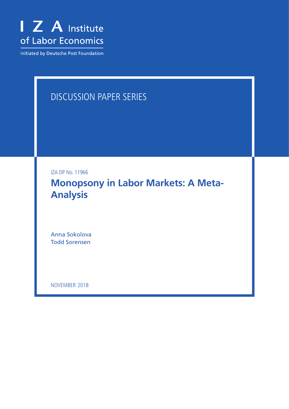

Initiated by Deutsche Post Foundation

# DISCUSSION PAPER SERIES

IZA DP No. 11966

**Monopsony in Labor Markets: A Meta-Analysis**

Anna Sokolova Todd Sorensen

NOVEMBER 2018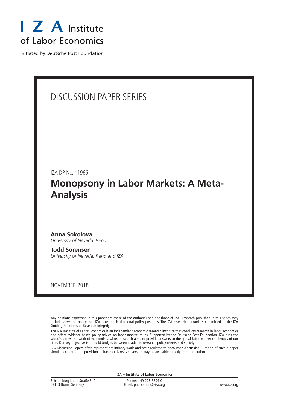

Initiated by Deutsche Post Foundation

# DISCUSSION PAPER SERIES

IZA DP No. 11966

# **Monopsony in Labor Markets: A Meta-Analysis**

#### **Anna Sokolova** *University of Nevada, Reno*

**Todd Sorensen** *University of Nevada, Reno and IZA*

NOVEMBER 2018

Any opinions expressed in this paper are those of the author(s) and not those of IZA. Research published in this series may include views on policy, but IZA takes no institutional policy positions. The IZA research network is committed to the IZA Guiding Principles of Research Integrity.

The IZA Institute of Labor Economics is an independent economic research institute that conducts research in labor economics and offers evidence-based policy advice on labor market issues. Supported by the Deutsche Post Foundation, IZA runs the world's largest network of economists, whose research aims to provide answers to the global labor market challenges of our time. Our key objective is to build bridges between academic research, policymakers and society.

IZA Discussion Papers often represent preliminary work and are circulated to encourage discussion. Citation of such a paper should account for its provisional character. A revised version may be available directly from the author.

| <b>IZA</b> – Institute of Labor Economics          |                                                      |             |  |  |
|----------------------------------------------------|------------------------------------------------------|-------------|--|--|
| Schaumburg-Lippe-Straße 5-9<br>53113 Bonn, Germany | Phone: +49-228-3894-0<br>Email: publications@iza.org | www.iza.org |  |  |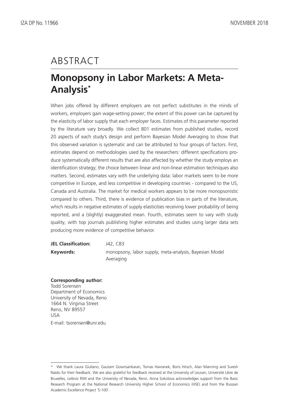# ABSTRACT

# **Monopsony in Labor Markets: A Meta-Analysis\***

When jobs offered by different employers are not perfect substitutes in the minds of workers, employers gain wage-setting power; the extent of this power can be captured by the elasticity of labor supply that each employer faces. Estimates of this parameter reported by the literature vary broadly. We collect 801 estimates from published studies, record 20 aspects of each study's design and perform Bayesian Model Averaging to show that this observed variation is systematic and can be attributed to four groups of factors. First, estimates depend on methodologies used by the researchers: different specifications produce systematically different results that are also affected by whether the study employs an identification strategy; the choice between linear and non-linear estimation techniques also matters. Second, estimates vary with the underlying data: labor markets seem to be more competitive in Europe, and less competitive in developing countries - compared to the US, Canada and Australia. The market for medical workers appears to be more monopsonistic compared to others. Third, there is evidence of publication bias in parts of the literature, which results in negative estimates of supply elasticities receiving lower probability of being reported, and a (slightly) exaggerated mean. Fourth, estimates seem to vary with study quality, with top journals publishing higher estimates and studies using larger data sets producing more evidence of competitive behavior.

| <b>JEL Classification:</b> | J42, C83                                               |
|----------------------------|--------------------------------------------------------|
| Keywords:                  | monopsony, labor supply, meta-analysis, Bayesian Model |
|                            | Averaging                                              |

#### **Corresponding author:**

Todd Sorensen Department of Economics University of Nevada, Reno 1664 N. Virginia Street Reno, NV 89557 USA E-mail: tsorensen@unr.edu

<sup>\*</sup> We thank Laura Giuliano, Gautam Gowrisankaran, Tomas Havranek, Boris Hirsch, Alan Manning and Suresh Naidu for their feedback. We are also grateful for feedback received at the University of Leuvan, Université Libre de Bruxelles, Leibniz RWI and the University of Nevada, Reno. Anna Sokolova acknowledges support from the Basic Research Program at the National Research University Higher School of Economics (HSE) and from the Russian Academic Excellence Project `5-100'.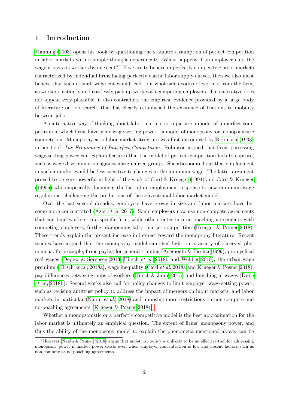### 1 Introduction

[Manning](#page-31-0) [\(2003\)](#page-31-0) opens his book by questioning the standard assumption of perfect competition in labor markets with a simple thought experiment: "What happens if an employer cuts the wage it pays its workers by one cent?" If we are to believe in perfectly competitive labor markets characterized by individual firms facing perfectly elastic labor supply curves, then we also must believe that such a small wage cut would lead to a wholesale exodus of workers from the firm, as workers instantly and costlessly pick up work with competing employers. This narrative does not appear very plausible; it also contradicts the empirical evidence provided by a large body of literature on job search, that has clearly established the existence of frictions to mobility between jobs.

An alternative way of thinking about labor markets is to picture a model of imperfect competition in which firms have some wage-setting power—a model of monopsony, or monopsonistic competition. Monopsony as a labor market structure was first introduced by [Robinson](#page-31-1) [\(1933\)](#page-31-1) in her book The Economics of Imperfect Competition. Robinson argued that firms possessing wage-setting power can explain features that the model of perfect competition fails to capture, such as wage discrimination against marginalized groups. She also pointed out that employment in such a market would be less sensitive to changes in the minimum wage. The latter argument proved to be very powerful in light of the work of [Card & Krueger](#page-29-0) [\(1994\)](#page-29-0) and [Card & Krueger](#page-29-1) [\(1995a\)](#page-29-1) who empirically document the lack of an employment response to new minimum wage regulations, challenging the predictions of the conventional labor market model.

Over the last several decades, employers have grown in size and labor markets have become more concentrated (Azar [et al.](#page-29-2) [2017\)](#page-29-2). Some employers now use non-compete agreements that can bind workers to a specific firm, while others enter into no-poaching agreements with competing employers, further dampening labor market competition [\(Krueger & Posner 2018\)](#page-30-0). These trends explain the present increase in interest toward the monopsony literature. Recent studies have argued that the monopsony model can shed light on a variety of observed phenomena, for example, firms paying for general training [\(Acemoglu & Pischke 1999\)](#page-29-3), pro-cyclical real wages [\(Depew & Sørensen 2013,](#page-29-4) [Hirsch](#page-30-1) et al. [2018b](#page-30-1) and [Webber 2018\)](#page-32-0), the urban wage premium [\(Hirsch](#page-30-2) et al., [2018a\)](#page-30-2), wage inequality [\(Card](#page-29-5) et al. [2018a](#page-29-5) and [Krueger & Posner 2018\)](#page-30-0), pay differences between groups of workers [\(Hirsch & Jahn, 2015\)](#page-30-3) and bunching in wages [\(Dube](#page-30-4) [et al.](#page-30-4), [2018b\)](#page-30-4). Several works also call for policy changes to limit employer wage-setting power, such as revising antitrust policy to address the impact of mergers on input markets, and labor markets in particular [\(Naidu](#page-31-2) *et al.*, [2018\)](#page-31-2) and imposing more restrictions on non-compete and no-poaching agreements (Krueger  $\&$  Posner 20[1](#page-3-0)8).<sup>1</sup>

Whether a monopsonistic or a perfectly competitive model is the best approximation for the labor market is ultimately an empirical question. The extent of firms' monopsony power, and thus the ability of the monopsony model to explain the phenomena mentioned above, can be

<span id="page-3-0"></span><sup>&</sup>lt;sup>1</sup>However, [Naidu & Posner](#page-31-3) [\(2018\)](#page-31-3) argue that anti-trust policy is unlikely to be an effective tool for addressing monopsony power if market power exists even when employer concentration is low and absent factors such as non-compete or no-poaching agreements.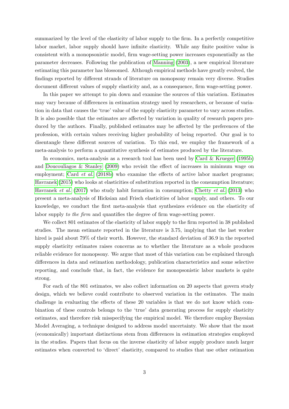summarized by the level of the elasticity of labor supply to the firm. In a perfectly competitive labor market, labor supply should have infinite elasticity. While any finite positive value is consistent with a monopsonistic model, firm wage-setting power increases exponentially as the parameter decreases. Following the publication of [Manning](#page-31-0) [\(2003\)](#page-31-0), a new empirical literature estimating this parameter has blossomed. Although empirical methods have greatly evolved, the findings reported by different strands of literature on monopsony remain very diverse. Studies document different values of supply elasticity and, as a consequence, firm wage-setting power.

In this paper we attempt to pin down and examine the sources of this variation. Estimates may vary because of differences in estimation strategy used by researchers, or because of variation in data that causes the 'true' value of the supply elasticity parameter to vary across studies. It is also possible that the estimates are affected by variation in quality of research papers produced by the authors. Finally, published estimates may be affected by the preferences of the profession, with certain values receiving higher probability of being reported. Our goal is to disentangle these different sources of variation. To this end, we employ the framework of a meta-analysis to perform a quantitative synthesis of estimates produced by the literature.

In economics, meta-analysis as a research tool has been used by [Card & Krueger](#page-29-6) [\(1995b\)](#page-29-6) and [Doucouliagos & Stanley](#page-29-7) [\(2009\)](#page-29-7) who revisit the effect of increases in minimum wage on employment; Card *[et al.](#page-29-8)* [\(2018b\)](#page-29-8) who examine the effects of active labor market programs; [Havranek](#page-30-5) [\(2015\)](#page-30-5) who looks at elasticities of substitution reported in the consumption literature; [Havranek](#page-30-6) et al. [\(2017\)](#page-30-6) who study habit formation in consumption; [Chetty](#page-29-9) et al. [\(2013\)](#page-29-9) who present a meta-analysis of Hicksian and Frisch elasticities of labor supply, and others. To our knowledge, we conduct the first meta-analysis that synthesizes evidence on the elasticity of labor supply to the firm and quantifies the degree of firm wage-setting power.

We collect 801 estimates of the elasticity of labor supply to the firm reported in 38 published studies. The mean estimate reported in the literature is 3.75, implying that the last worker hired is paid about 79% of their worth. However, the standard deviation of 36.9 in the reported supply elasticity estimates raises concerns as to whether the literature as a whole produces reliable evidence for monopsony. We argue that most of this variation can be explained through differences in data and estimation methodology, publication characteristics and some selective reporting, and conclude that, in fact, the evidence for monopsonistic labor markets is quite strong.

For each of the 801 estimates, we also collect information on 20 aspects that govern study design, which we believe could contribute to observed variation in the estimates. The main challenge in evaluating the effects of these 20 variables is that we do not know which combination of these controls belongs to the 'true' data generating process for supply elasticity estimates, and therefore risk misspecifying the empirical model. We therefore employ Bayesian Model Averaging, a technique designed to address model uncertainty. We show that the most (economically) important distinctions stem from differences in estimation strategies employed in the studies. Papers that focus on the inverse elasticity of labor supply produce much larger estimates when converted to 'direct' elasticity, compared to studies that use other estimation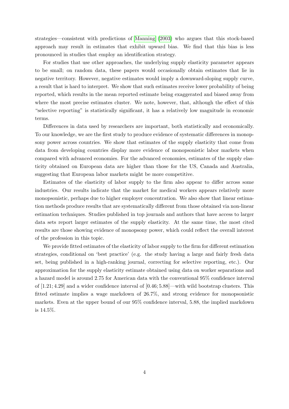strategies—consistent with predictions of [Manning](#page-31-0) [\(2003\)](#page-31-0) who argues that this stock-based approach may result in estimates that exhibit upward bias. We find that this bias is less pronounced in studies that employ an identification strategy.

For studies that use other approaches, the underlying supply elasticity parameter appears to be small; on random data, these papers would occasionally obtain estimates that lie in negative territory. However, negative estimates would imply a downward-sloping supply curve, a result that is hard to interpret. We show that such estimates receive lower probability of being reported, which results in the mean reported estimate being exaggerated and biased away from where the most precise estimates cluster. We note, however, that, although the effect of this "selective reporting" is statistically significant, it has a relatively low magnitude in economic terms.

Differences in data used by researchers are important, both statistically and economically. To our knowledge, we are the first study to produce evidence of systematic differences in monopsony power across countries. We show that estimates of the supply elasticity that come from data from developing countries display more evidence of monopsonistic labor markets when compared with advanced economies. For the advanced economies, estimates of the supply elasticity obtained on European data are higher than those for the US, Canada and Australia, suggesting that European labor markets might be more competitive.

Estimates of the elasticity of labor supply to the firm also appear to differ across some industries. Our results indicate that the market for medical workers appears relatively more monopsonistic, perhaps due to higher employer concentration. We also show that linear estimation methods produce results that are systematically different from those obtained via non-linear estimation techniques. Studies published in top journals and authors that have access to larger data sets report larger estimates of the supply elasticity. At the same time, the most cited results are those showing evidence of monopsony power, which could reflect the overall interest of the profession in this topic.

We provide fitted estimates of the elasticity of labor supply to the firm for different estimation strategies, conditional on 'best practice' (e.g. the study having a large and fairly fresh data set, being published in a high-ranking journal, correcting for selective reporting, etc.). Our approximation for the supply elasticity estimate obtained using data on worker separations and a hazard model is around 2.75 for American data with the conventional 95% confidence interval of [1.21; 4.29] and a wider confidence interval of [0.46; 5.88]—with wild bootstrap clusters. This fitted estimate implies a wage markdown of 26.7%, and strong evidence for monopsonistic markets. Even at the upper bound of our 95% confidence interval, 5.88, the implied markdown is 14.5%.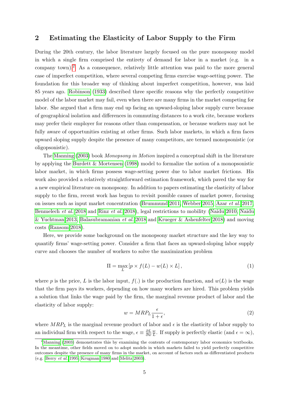# <span id="page-6-2"></span>2 Estimating the Elasticity of Labor Supply to the Firm

During the 20th century, the labor literature largely focused on the pure monopsony model in which a single firm comprised the entirety of demand for labor in a market (e.g. in a company town).[2](#page-6-0) As a consequence, relatively little attention was paid to the more general case of imperfect competition, where several competing firms exercise wage-setting power. The foundation for this broader way of thinking about imperfect competition, however, was laid 85 years ago. [Robinson](#page-31-1) [\(1933\)](#page-31-1) described three specific reasons why the perfectly competitive model of the labor market may fail, even when there are many firms in the market competing for labor. She argued that a firm may end up facing an upward-sloping labor supply curve because of geographical isolation and differences in commuting distances to a work cite, because workers may prefer their employer for reasons other than compensation, or because workers may not be fully aware of opportunities existing at other firms. Such labor markets, in which a firm faces upward sloping supply despite the presence of many competitors, are termed monopsonistic (or oligopsonistic).

The [Manning](#page-31-0) [\(2003\)](#page-31-0) book Monopsony in Motion inspired a conceptual shift in the literature by applying the [Burdett & Mortensen](#page-29-10) [\(1998\)](#page-29-10) model to formalize the notion of a monopsonistic labor market, in which firms possess wage-setting power due to labor market frictions. His work also provided a relatively straightforward estimation framework, which paved the way for a new empirical literature on monopsony. In addition to papers estimating the elasticity of labor supply to the firm, recent work has begun to revisit possible causes of market power, focusing on issues such as input market concentration [\(Brummund 2011,](#page-29-11) [Webber 2015,](#page-32-1) Azar [et al.](#page-29-2) [2017,](#page-29-2) [Benmelech](#page-29-12) et al. [2018](#page-29-12) and Rinz [et al.](#page-31-4) [2018\)](#page-31-4), legal restrictions to mobility [\(Naidu 2010,](#page-31-5) [Naidu](#page-31-6) [& Yuchtman 2013,](#page-31-6) [Balasubramanian](#page-29-13) et al. [2018](#page-29-13) and [Krueger & Ashenfelter 2018\)](#page-30-7) and moving costs [\(Ransom 2018\)](#page-31-7).

Here, we provide some background on the monopsony market structure and the key way to quantify firms' wage-setting power. Consider a firm that faces an upward-sloping labor supply curve and chooses the number of workers to solve the maximization problem

$$
\Pi = \max_{L} \left[ p \times f(L) - w(L) \times L \right],\tag{1}
$$

where p is the price, L is the labor input,  $f(.)$  is the production function, and  $w(L)$  is the wage that the firm pays its workers, depending on how many workers are hired. This problem yields a solution that links the wage paid by the firm, the marginal revenue product of labor and the elasticity of labor supply:

<span id="page-6-1"></span>
$$
w = MRP_L \frac{\epsilon}{1 + \epsilon},\tag{2}
$$

where  $MRP<sub>L</sub>$  is the marginal revenue product of labor and  $\epsilon$  is the elasticity of labor supply to an individual firm with respect to the wage,  $\epsilon \equiv \frac{\partial L}{\partial w}$ ∂w w  $\frac{w}{L}$ . If supply is perfectly elastic (and  $\epsilon = \infty$ ),

<span id="page-6-0"></span> $2<sup>2</sup>$ [Manning](#page-31-0) [\(2003\)](#page-31-0) demonstrates this by examining the contents of contemporary labor economics textbooks. In the meantime, other fields moved on to adopt models in which markets failed to yield perfectly competitive outcomes despite the presence of many firms in the market, on account of factors such as differentiated products (e.g. [Berry](#page-29-14) et al. [1995,](#page-29-14) [Krugman 1980](#page-31-8) and [Melitz 2003\)](#page-31-9).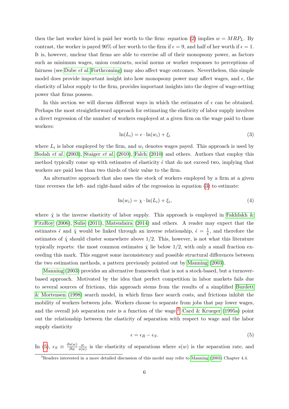then the last worker hired is paid her worth to the firm: equation [\(2\)](#page-6-1) implies  $w = MRP<sub>L</sub>$ . By contrast, the worker is payed 90% of her worth to the firm if  $\epsilon = 9$ , and half of her worth if  $\epsilon = 1$ . It is, however, unclear that firms are able to exercise all of their monopsony power, as factors such as minimum wages, union contracts, social norms or worker responses to perceptions of fairness (see [Dube](#page-30-8) et al. [Forthcoming\)](#page-30-8) may also affect wage outcomes. Nevertheless, this simple model does provide important insight into how monopsony power may affect wages, and  $\epsilon$ , the elasticity of labor supply to the firm, provides important insights into the degree of wage-setting power that firms possess.

In this section we will discuss different ways in which the estimates of  $\epsilon$  can be obtained. Perhaps the most straightforward approach for estimating the elasticity of labor supply involves a direct regression of the number of workers employed at a given firm on the wage paid to those workers:

<span id="page-7-0"></span>
$$
\ln(L_i) = \epsilon \cdot \ln(w_i) + \xi_i \tag{3}
$$

where  $L_i$  is labor employed by the firm, and  $w_i$  denotes wages payed. This approach is used by [Bodah](#page-29-15) et al. [\(2003\)](#page-29-15), [Staiger](#page-31-10) et al. [\(2010\)](#page-31-10), [Falch](#page-30-9) [\(2010\)](#page-30-9) and others. Authors that employ this method typically come up with estimates of elasticity  $\hat{\epsilon}$  that do not exceed two, implying that workers are paid less than two thirds of their value to the firm.

An alternative approach that also uses the stock of workers employed by a firm at a given time reverses the left- and right-hand sides of the regression in equation [\(3\)](#page-7-0) to estimate:

<span id="page-7-3"></span>
$$
\ln(w_i) = \chi \cdot \ln(L_i) + \xi_i,\tag{4}
$$

where  $\hat{\chi}$  is the inverse elasticity of labor supply. This approach is employed in [Fakhfakh &](#page-30-10) [FitzRoy](#page-30-10) [\(2006\)](#page-30-10), [Sulis](#page-32-2) [\(2011\)](#page-32-2), [Matsudaira](#page-31-11) [\(2014\)](#page-31-11) and others. A reader may expect that the estimates  $\hat{\epsilon}$  and  $\hat{\chi}$  would be linked through an inverse relationship,  $\hat{\epsilon} = \frac{1}{2}$  $\frac{1}{\hat{\chi}}$ , and therefore the estimates of  $\hat{\chi}$  should cluster somewhere above 1/2. This, however, is not what this literature typically reports: the most common estimates  $\hat{\chi}$  lie below 1/2, with only a small fraction exceeding this mark. This suggest some inconsistency and possible structural differences between the two estimation methods, a pattern previously pointed out by [Manning](#page-31-0) [\(2003\)](#page-31-0).

[Manning](#page-31-0) [\(2003\)](#page-31-0) provides an alternative framework that is not a stock-based, but a turnoverbased approach. Motivated by the idea that perfect competition in labor markets fails due to several sources of frictions, this approach stems from the results of a simplified [Burdett](#page-29-10) [& Mortensen](#page-29-10) [\(1998\)](#page-29-10) search model, in which firms face search costs, and frictions inhibit the mobility of workers between jobs. Workers choose to separate from jobs that pay lower wages, and the overall job separation rate is a function of the wage.<sup>[3](#page-7-1)</sup> [Card & Krueger](#page-29-1) [\(1995a\)](#page-29-1) point out the relationship between the elasticity of separation with respect to wage and the labor supply elasticity

<span id="page-7-2"></span>
$$
\epsilon = \epsilon_R - \epsilon_S. \tag{5}
$$

In [\(5\)](#page-7-2),  $\epsilon_S \equiv \frac{\partial s(w)}{\partial w}$ ∂w  $\omega$  $\frac{w}{s(w)}$  is the elasticity of separations where  $s(w)$  is the separation rate, and

<span id="page-7-1"></span><sup>3</sup>Readers interested in a more detailed discussion of this model may refer to [Manning](#page-31-0) [\(2003\)](#page-31-0) Chapter 4.4.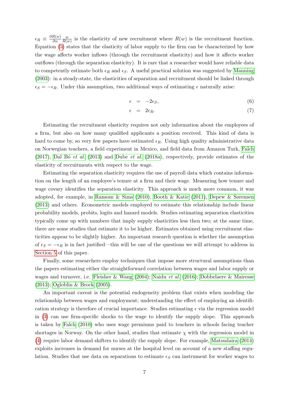$\epsilon_R \equiv \frac{\partial R(w)}{\partial w}$ ∂w w  $\frac{w}{R(w)}$  is the elasticity of new recruitment where  $R(w)$  is the recruitment function. Equation [\(5\)](#page-7-2) states that the elasticity of labor supply to the firm can be characterized by how the wage affects worker inflows (through the recruitment elasticity) and how it affects worker outflows (through the separation elasticity). It is rare that a researcher would have reliable data to competently estimate both  $\epsilon_R$  and  $\epsilon_S$ . A useful practical solution was suggested by [Manning](#page-31-0) [\(2003\)](#page-31-0): in a steady-state, the elasticities of separation and recruitment should be linked through  $\epsilon_S = -\epsilon_R$ . Under this assumption, two additional ways of estimating  $\epsilon$  naturally arise:

$$
\epsilon = -2\epsilon_S,\tag{6}
$$

$$
\epsilon = 2\epsilon_R. \tag{7}
$$

Estimating the recruitment elasticity requires not only information about the employees of a firm, but also on how many qualified applicants a position received. This kind of data is hard to come by, so very few papers have estimated  $\epsilon_R$ . Using high quality administrative data on Norwegian teachers, a field experiment in Mexico, and field data from Amazon Turk, [Falch](#page-30-11) [\(2017\)](#page-30-11), Dal B $\acute{o}$  et al. [\(2013\)](#page-29-16) and [Dube](#page-30-12) et al. [\(2018a\)](#page-30-12), respectively, provide estimates of the elasticity of recruitments with respect to the wage.

Estimating the separation elasticity requires the use of payroll data which contains information on the length of an employee's tenure at a firm and their wage. Measuring how tenure and wage covary identifies the separation elasticity. This approach is much more common, it was adopted, for example, in [Ransom & Sims](#page-31-12) [\(2010\)](#page-31-12), [Booth & Katic](#page-29-17) [\(2011\)](#page-29-17), [Depew & Sørensen](#page-29-4) [\(2013\)](#page-29-4) and others. Econometric models employed to estimate this relationship include linear probability models, probits, logits and hazard models. Studies estimating separation elasticities typically come up with numbers that imply supply elasticities less then two; at the same time, there are some studies that estimate it to be higher. Estimates obtained using recruitment elasticities appear to be slightly higher. An important research question is whether the assumption of  $\epsilon_S = -\epsilon_R$  is in fact justified—this will be one of the questions we will attempt to address in [Section 5](#page-17-0) of this paper.

Finally, some researchers employ techniques that impose more structural assumptions than the papers estimating either the straightforward correlation between wages and labor supply or wages and turnover, i.e. [Fleisher & Wang](#page-30-13) [\(2004\)](#page-30-13); [Naidu](#page-31-13) et al. [\(2016\)](#page-31-13); [Dobbelaere & Mairesse](#page-29-18) [\(2013\)](#page-29-18); [Ogloblin & Brock](#page-31-14) [\(2005\)](#page-31-14).

An important caveat is the potential endogeneity problem that exists when modeling the relationship between wages and employment; understanding the effect of employing an identification strategy is therefore of crucial importance. Studies estimating  $\epsilon$  via the regression model in [\(3\)](#page-7-0) can use firm-specific shocks to the wage to identify the supply slope. This approach is taken by [Falch](#page-30-9) [\(2010\)](#page-30-9) who uses wage premiums paid to teachers in schools facing teacher shortages in Norway. On the other hand, studies that estimate  $\chi$  with the regression model in [\(4\)](#page-7-3) require labor demand shifters to identify the supply slope. For example, [Matsudaira](#page-31-11) [\(2014\)](#page-31-11) exploits increases in demand for nurses at the hospital level on account of a new staffing regulation. Studies that use data on separations to estimate  $\epsilon_S$  can instrument for worker wages to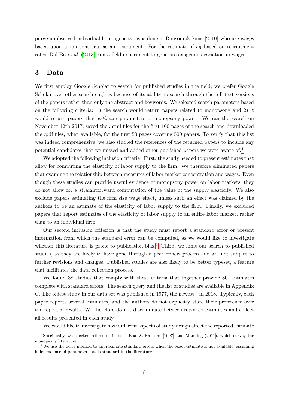purge unobserved individual heterogeneity, as is done in [Ransom & Sims](#page-31-12) [\(2010\)](#page-31-12) who use wages based upon union contracts as an instrument. For the estimate of  $\epsilon_R$  based on recruitment rates, Dal Bó et al. [\(2013\)](#page-29-16) run a field experiment to generate exogenous variation in wages.

# <span id="page-9-2"></span>3 Data

We first employ Google Scholar to search for published studies in the field; we prefer Google Scholar over other search engines because of its ability to search through the full text versions of the papers rather than only the abstract and keywords. We selected search parameters based on the following criteria: 1) the search would return papers related to monopsony and 2) it would return papers that *estimate* parameters of monopsony power. We ran the search on November 12th 2017, saved the .html files for the first 100 pages of the search and downloaded the .pdf files, when available, for the first 50 pages covering 500 papers. To verify that this list was indeed comprehensive, we also studied the references of the returned papers to include any potential candidates that we missed and added other published papers we were aware of.[4](#page-9-0)

We adopted the following inclusion criteria. First, the study needed to present estimates that allow for computing the elasticity of labor supply to the firm. We therefore eliminated papers that examine the relationship between measures of labor market concentration and wages. Even though these studies can provide useful evidence of monopsony power on labor markets, they do not allow for a straightforward computation of the value of the supply elasticity. We also exclude papers estimating the firm size wage effect, unless such an effect was claimed by the authors to be an estimate of the elasticity of labor supply to the firm. Finally, we excluded papers that report estimates of the elasticity of labor supply to an entire labor market, rather than to an individual firm.

Our second inclusion criterion is that the study must report a standard error or present information from which the standard error can be computed, as we would like to investigate whether this literature is prone to publication bias.<sup>[5](#page-9-1)</sup> Third, we limit our search to published studies, as they are likely to have gone through a peer review process and are not subject to further revisions and changes. Published studies are also likely to be better typeset, a feature that facilitates the data collection process.

We found 38 studies that comply with these criteria that together provide 801 estimates complete with standard errors. The search query and the list of studies are available in Appendix C. The oldest study in our data set was published in 1977, the newest—in 2018. Typically, each paper reports several estimates, and the authors do not explicitly state their preference over the reported results. We therefore do not discriminate between reported estimates and collect all results presented in each study.

<span id="page-9-0"></span>We would like to investigate how different aspects of study design affect the reported estimate

<sup>&</sup>lt;sup>4</sup>Specifically, we checked references in both [Boal & Ransom](#page-29-19) [\(1997\)](#page-29-19) and [Manning](#page-31-15) [\(2011\)](#page-31-15), which survey the monopsony literature.

<span id="page-9-1"></span><sup>&</sup>lt;sup>5</sup>We use the delta method to approximate standard errors when the exact estimate is not available, assuming independence of parameters, as is standard in the literature.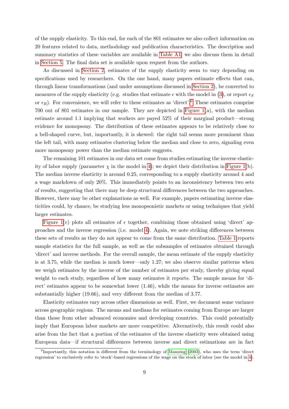of the supply elasticity. To this end, for each of the 801 estimates we also collect information on 20 features related to data, methodology and publication characteristics. The description and summary statistics of these variables are available in [Table A1;](#page-33-0) we also discuss them in detail in [Section 5.](#page-17-0) The final data set is available upon request from the authors.

As discussed in [Section 2,](#page-6-2) estimates of the supply elasticity seem to vary depending on specifications used by researchers. On the one hand, many papers estimate effects that can, through linear transformations (and under assumptions discussed in [Section 2\)](#page-6-2), be converted to measures of the supply elasticity (e.g. studies that estimate  $\epsilon$  with the model in [\(3\)](#page-7-0), or report  $\epsilon_S$ or  $\epsilon_R$ ). For convenience, we will refer to these estimates as 'direct'.<sup>[6](#page-10-0)</sup> These estimates comprise 700 out of 801 estimates in our sample. They are depicted in [Figure 1\(](#page-11-0)a), with the median estimate around 1.1 implying that workers are payed 52% of their marginal product—strong evidence for monopsony. The distribution of these estimates appears to be relatively close to a bell-shaped curve, but, importantly, it is skewed: the right tail seems more prominent than the left tail, with many estimates clustering below the median and close to zero, signaling even more monopsony power than the median estimate suggests.

The remaining 101 estimates in our data set come from studies estimating the inverse elasticity of labor supply (parameter  $\chi$  in the model in [4\)](#page-7-3); we depict their distribution in [Figure 1\(](#page-11-0)b). The median inverse elasticity is around 0.25, corresponding to a supply elasticity around 4 and a wage markdown of only 20%. This immediately points to an inconsistency between two sets of results, suggesting that there may be deep structural differences between the two approaches. However, there may be other explanations as well. For example, papers estimating inverse elasticities could, by chance, be studying less monopsonistic markets or using techniques that yield larger estimates.

[Figure 1\(](#page-11-0)c) plots all estimates of  $\epsilon$  together, combining those obtained using 'direct' approaches and the inverse regression (i.e. model [4\)](#page-7-3). Again, we note striking differences between these sets of results as they do not appear to come from the same distribution. [Table 1](#page-12-0) reports sample statistics for the full sample, as well as the subsamples of estimates obtained through 'direct' and inverse methods. For the overall sample, the mean estimate of the supply elasticity is at 3.75, while the median is much lower—only 1.27; we also observe similar patterns when we weigh estimates by the inverse of the number of estimates per study, thereby giving equal weight to each study, regardless of how many estimates it reports. The sample means for 'direct' estimates appear to be somewhat lower (1.46), while the means for inverse estimates are substantially higher (19.66), and very different from the median of 3.77.

Elasticity estimates vary across other dimensions as well. First, we document some variance across geographic regions. The means and medians for estimates coming from Europe are larger than those from other advanced economies and developing countries. This could potentially imply that European labor markets are more competitive. Alternatively, this result could also arise from the fact that a portion of the estimates of the inverse elasticity were obtained using European data—if structural differences between inverse and direct estimations are in fact

<span id="page-10-0"></span><sup>&</sup>lt;sup>6</sup>Importantly, this notation is different from the terminology of [Manning](#page-31-0) [\(2003\)](#page-31-0), who uses the term 'direct regression' to exclusively refer to 'stock'-based regressions of the wage on the stock of labor (see the model in [4\)](#page-7-3).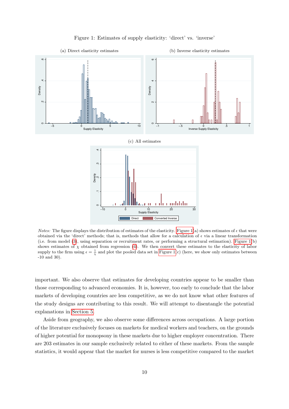<span id="page-11-0"></span>

Figure 1: Estimates of supply elasticity: 'direct' vs. 'inverse'

*Notes:* The figure displays the distribution of estimates of the elasticity. [Figure 1\(](#page-11-0)a) shows estimates of  $\epsilon$  that were obtained via the 'direct' methods; that is, methods that allow for a calculation of  $\epsilon$  via a linear transformation (i.e. from model [\(3\)](#page-7-0), using separation or recruitment rates, or performing a structural estimation). [Figure 1\(](#page-11-0)b) shows estimates of  $\chi$  obtained from regression [\(4\)](#page-7-3). We then convert these estimates to the elasticity of labor supply to the firm using  $\epsilon = \frac{1}{\chi}$  and plot the pooled data set in [Figure 1\(](#page-11-0)c) (here, we show only estimates between -10 and 30).

important. We also observe that estimates for developing countries appear to be smaller than those corresponding to advanced economies. It is, however, too early to conclude that the labor markets of developing countries are less competitive, as we do not know what other features of the study designs are contributing to this result. We will attempt to disentangle the potential explanations in [Section 5.](#page-17-0)

Aside from geography, we also observe some differences across occupations. A large portion of the literature exclusively focuses on markets for medical workers and teachers, on the grounds of higher potential for monopsony in these markets due to higher employer concentration. There are 203 estimates in our sample exclusively related to either of these markets. From the sample statistics, it would appear that the market for nurses is less competitive compared to the market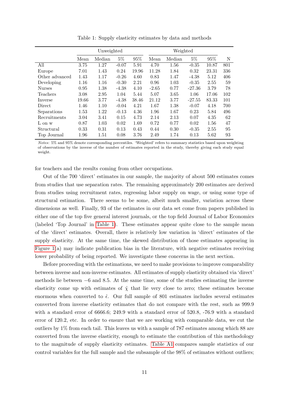<span id="page-12-0"></span>

|                | Unweighted |        |         | Weighted |         |        |          |       |     |
|----------------|------------|--------|---------|----------|---------|--------|----------|-------|-----|
|                | Mean       | Median | $5\%$   | 95%      | Mean    | Median | $5\%$    | 95%   | N   |
| All            | 3.75       | 1.27   | $-0.07$ | 5.91     | 4.70    | 1.56   | $-0.35$  | 10.87 | 801 |
| Europe         | 7.01       | 1.43   | 0.24    | 19.96    | 11.28   | 1.84   | 0.32     | 23.31 | 336 |
| Other advanced | 1.43       | 1.17   | $-0.26$ | 4.60     | 0.83    | 1.47   | $-4.38$  | 5.12  | 406 |
| Developing     | 1.16       | 1.16   | $-0.30$ | 2.21     | 0.96    | 1.03   | $-0.35$  | 2.55  | 59  |
| <b>Nurses</b>  | 0.95       | 1.38   | $-4.38$ | 4.10     | $-2.65$ | 0.77   | $-27.36$ | 3.79  | 78  |
| Teachers       | 3.08       | 2.95   | 1.04    | 5.44     | 5.07    | 3.65   | 1.06     | 17.06 | 102 |
| Inverse        | 19.66      | 3.77   | $-4.38$ | 38.46    | 21.12   | 3.77   | $-27.55$ | 83.33 | 101 |
| Direct         | 1.46       | 1.10   | $-0.04$ | 4.21     | 1.67    | 1.38   | $-0.07$  | 4.18  | 700 |
| Separations    | 1.53       | 1.22   | $-0.13$ | 4.36     | 1.96    | 1.67   | 0.23     | 5.84  | 496 |
| Recruitments   | 3.04       | 3.41   | 0.15    | 4.73     | 2.14    | 2.13   | 0.07     | 4.35  | 62  |
| L on w         | 0.87       | 1.03   | 0.02    | 1.69     | 0.72    | 0.77   | 0.02     | 1.56  | 47  |
| Structural     | 0.33       | 0.31   | 0.13    | 0.43     | 0.44    | 0.30   | $-0.35$  | 2.55  | 95  |
| Top Journal    | 1.96       | 1.51   | 0.08    | 3.76     | 2.49    | 1.74   | 0.13     | 5.62  | 93  |

Table 1: Supply elasticity estimates by data and methods

Notes: 5% and 95% denote corresponding percentiles. 'Weighted' refers to summary statistics based upon weighting of observations by the inverse of the number of estimates reported in the study, thereby giving each study equal weight.

for teachers and the results coming from other occupations.

Out of the 700 'direct' estimates in our sample, the majority of about 500 estimates comes from studies that use separation rates. The remaining approximately 200 estimates are derived from studies using recruitment rates, regressing labor supply on wage, or using some type of structural estimation. There seems to be some, albeit much smaller, variation across these dimensions as well. Finally, 93 of the estimates in our data set come from papers published in either one of the top five general interest journals, or the top field Journal of Labor Economics (labeled 'Top Journal' in [Table 1\)](#page-12-0). These estimates appear quite close to the sample mean of the 'direct' estimates. Overall, there is relatively low variation in 'direct' estimates of the supply elasticity. At the same time, the skewed distribution of those estimates appearing in [Figure 1\(](#page-11-0)a) may indicate publication bias in the literature, with negative estimates receiving lower probability of being reported. We investigate these concerns in the next section.

Before proceeding with the estimations, we need to make provisions to improve comparability between inverse and non-inverse estimates. All estimates of supply elasticity obtained via 'direct' methods lie between  $-6$  and 8.5. At the same time, some of the studies estimating the inverse elasticity come up with estimates of  $\hat{\chi}$  that lie very close to zero; these estimates become enormous when converted to  $\hat{\epsilon}$ . Our full sample of 801 estimates includes several estimates converted from inverse elasticity estimates that do not compare with the rest, such as 999.9 with a standard error of 6666.6; 249.9 with a standard error of 520.8, -76.9 with a standard error of 120.2, etc. In order to ensure that we are working with comparable data, we cut the outliers by 1% from each tail. This leaves us with a sample of 787 estimates among which 88 are converted from the inverse elasticity, enough to estimate the contribution of this methodology to the magnitude of supply elasticity estimates. [Table A1](#page-33-0) compares sample statistics of our control variables for the full sample and the subsample of the 98% of estimates without outliers;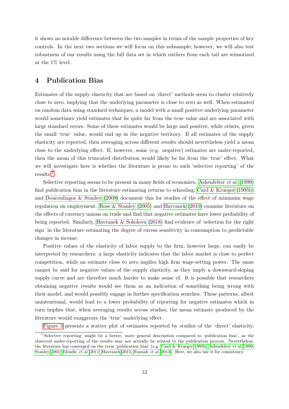it shows no notable difference between the two samples in terms of the sample properties of key controls. In the next two sections we will focus on this subsample; however, we will also test robustness of our results using the full data set in which outliers from each tail are winsorized at the 1% level.

### <span id="page-13-1"></span>4 Publication Bias

Estimates of the supply elasticity that are based on 'direct' methods seem to cluster relatively close to zero, implying that the underlying parameter is close to zero as well. When estimated on random data using standard techniques, a model with a small positive underlying parameter would sometimes yield estimates that lie quite far from the true value and are associated with large standard errors. Some of these estimates would be large and positive, while others, given the small 'true' value, would end up in the negative territory. If all estimates of the supply elasticity are reported, then averaging across different results should nevertheless yield a mean close to the underlying effect. If, however, some (e.g. negative) estimates are under-reported, then the mean of this truncated distribution would likely be far from the 'true' effect. What we will investigate here is whether the literature is prone to such 'selective reporting' of the results.[7](#page-13-0)

Selective reporting seems to be present in many fields of economics. [Ashenfelter](#page-29-20) *et al.* [\(1999\)](#page-29-20) find publication bias in the literature estimating returns to schooling; Card  $\&$  Krueger [\(1995b\)](#page-29-6) and [Doucouliagos & Stanley](#page-29-7) [\(2009\)](#page-29-7) document this for studies of the effect of minimum wage regulation on employment. [Rose & Stanley](#page-31-16) [\(2005\)](#page-31-16) and [Havranek](#page-30-14) [\(2010\)](#page-30-14) examine literature on the effects of currency unions on trade and find that negative estimates have lower probability of being reported. Similarly, [Havranek & Sokolova](#page-30-15) [\(2018\)](#page-30-15) find evidence of 'selection for the right sign' in the literature estimating the degree of excess sensitivity in consumption to predictable changes in income.

Positive values of the elasticity of labor supply to the firm, however large, can easily be interpreted by researchers: a large elasticity indicates that the labor market is close to perfect competition, while an estimate close to zero implies high firm wage-setting power. The same cannot be said for negative values of the supply elasticity, as they imply a downward-sloping supply curve and are therefore much harder to make sense of. It is possible that researchers obtaining negative results would see them as an indication of something being wrong with their model, and would possibly engage in further specification searches. These patterns, albeit unintentional, would lead to a lower probability of reporting for negative estimates which in turn implies that, when averaging results across studies, the mean estimate produced by the literature would exaggerate the 'true' underlying effect.

<span id="page-13-0"></span>[Figure 3](#page-21-0) presents a scatter plot of estimates reported by studies of the 'direct' elasticity.

<sup>&</sup>lt;sup>7</sup>'Selective reporting' might be a better, more general description compared to 'publication bias', as the observed under-reporting of the results may not actually be related to the publication process. Nevertheless, the literature has converged on the term 'publication bias' (e.g. [Card & Krueger 1995b,](#page-29-6) [Ashenfelter](#page-29-20) et al. [1999,](#page-29-20) [Stanley 2001,](#page-31-17) [Efendic](#page-30-16) et al. [2011,](#page-30-16) [Havranek 2015,](#page-30-5) [Rusnak](#page-31-18) et al. [2013\)](#page-31-18). Here, we also use it for consistency.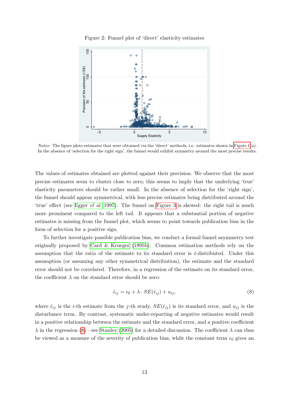

Figure 2: Funnel plot of 'direct' elasticity estimates

Notes: The figure plots estimates that were obtained via the 'direct' methods, i.e. estimates shown in [Figure 1\(](#page-11-0)a). In the absence of 'selection for the right sign', the funnel would exhibit symmetry around the most precise results.

The values of estimates obtained are plotted against their precision. We observe that the most precise estimates seem to cluster close to zero; this seems to imply that the underlying 'true' elasticity parameters should be rather small. In the absence of selection for the 'right sign', the funnel should appear symmetrical, with less precise estimates being distributed around the 'true' effect (see [Egger](#page-30-17) et al. [1997\)](#page-30-17). The funnel on [Figure 3](#page-21-0) is skewed: the right tail is much more prominent compared to the left tail. It appears that a substantial portion of negative estimates is missing from the funnel plot, which seems to point towards publication bias in the form of selection for a positive sign.

To further investigate possible publication bias, we conduct a formal funnel asymmetry test originally proposed by [Card & Krueger](#page-29-6) [\(1995b\)](#page-29-6). Common estimation methods rely on the assumption that the ratio of the estimate to its standard error is t-distributed. Under this assumption (or assuming any other symmetrical distribution), the estimate and the standard error should not be correlated. Therefore, in a regression of the estimate on its standard error, the coefficient  $\lambda$  on the standard error should be zero:

<span id="page-14-0"></span>
$$
\hat{\epsilon}_{ij} = \epsilon_0 + \lambda \cdot SE(\hat{\epsilon}_{ij}) + u_{ij},\tag{8}
$$

where  $\hat{\epsilon}_{ij}$  is the *i*-th estimate from the *j*-th study,  $SE(\hat{\epsilon}_{ij})$  is its standard error, and  $u_{ij}$  is the disturbance term. By contrast, systematic under-reporting of negative estimates would result in a positive relationship between the estimate and the standard error, and a positive coefficient  $\lambda$  in the regression [\(8\)](#page-14-0)—see [Stanley](#page-31-19) [\(2005\)](#page-31-19) for a detailed discussion. The coefficient  $\lambda$  can thus be viewed as a measure of the severity of publication bias, while the constant term  $\epsilon_0$  gives an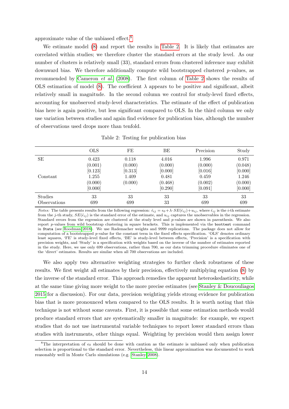approximate value of the unbiased effect.[8](#page-15-0)

We estimate model [\(8\)](#page-14-0) and report the results in [Table 2.](#page-15-1) It is likely that estimates are correlated within studies; we therefore cluster the standard errors at the study level. As our number of clusters is relatively small (33), standard errors from clustered inference may exhibit downward bias. We therefore additionally compute wild bootstrapped clustered p-values, as recommended by [Cameron](#page-29-21) et al. [\(2008\)](#page-29-21). The first column of [Table 2](#page-15-1) shows the results of OLS estimation of model [\(8\)](#page-14-0). The coefficient  $\lambda$  appears to be positive and significant, albeit relatively small in magnitude. In the second column we control for study-level fixed effects, accounting for unobserved study-level characteristics. The estimate of the effect of publication bias here is again positive, but less significant compared to OLS. In the third column we only use variation between studies and again find evidence for publication bias, although the number of observations used drops more than tenfold.

<span id="page-15-1"></span>

|                | <b>OLS</b> | FE        | BE      | Precision | Study   |
|----------------|------------|-----------|---------|-----------|---------|
| SЕ             | 0.423      | 0.118     | 4.016   | 1.996     | 0.971   |
|                | (0.001)    | (0.000)   | (0.000) | (0.000)   | (0.048) |
|                | [0.123]    | [0.313]   | [0.000] | [0.016]   | [0.000] |
| Constant       | 1.255      | 1.409     | 0.481   | 0.459     | 1.246   |
|                | (0.000)    | (0.000)   | (0.468) | (0.002)   | (0.000) |
|                | [0.000]    | $\bullet$ | [0.290] | [0.091]   | [0.000] |
| <b>Studies</b> | 33         | 33        | 33      | 33        | 33      |
| Observations   | 699        | 699       | 33      | 699       | 699     |

Table 2: Testing for publication bias

*Notes:* The table presents results from the following regression:  $\hat{\epsilon}_{ij} = \epsilon_0 + \lambda \cdot SE(\hat{\epsilon}_{ij}) + u_{ij}$ , where  $\hat{\epsilon}_{ij}$  is the *i*-th estimate from the j-th study,  $SE(\hat{\epsilon}_{ij})$  is the standard error of the estimate, and  $u_{ij}$  captures the unobservables in the regression. Standard errors from the regression are clustered at the study level and p-values are shown in parenthesis. We also report p-values from wild bootstrap clustering in square brackets. This is implemented via the boottest command in Stata (see [Roodman 2018\)](#page-31-20). We use Rademacher weights and 9999 replications. The package does not allow for computation of a bootstrapped p-value for the constant term in the fixed effects specification. 'OLS' denotes ordinary least squares, 'FE' is study-level fixed effects, 'BE' is study-level between effects, 'Precision' is a specification with precision weights, and 'Study' is a specification with weights based on the inverse of the number of estimates reported in the study. Here, we use only 699 observations, rather than 700, as our data trimming procedure eliminates one of the 'direct' estimates. Results are similar when all 700 observations are included.

We also apply two alternative weighting strategies to further check robustness of these results. We first weight all estimates by their precision, effectively multiplying equation [\(8\)](#page-14-0) by the inverse of the standard error. This approach remedies the apparent heteroskedasticity, while at the same time giving more weight to the more precise estimates (see [Stanley & Doucouliagos](#page-31-21) [2015](#page-31-21) for a discussion). For our data, precision weighting yields strong evidence for publication bias that is more pronounced when compared to the OLS results. It is worth noting that this technique is not without some caveats. First, it is possible that some estimation methods would produce standard errors that are systematically smaller in magnitude: for example, we expect studies that do not use instrumental variable techniques to report lower standard errors than studies with instruments, other things equal. Weighting by precision would then assign lower

<span id="page-15-0"></span><sup>&</sup>lt;sup>8</sup>The interpretation of  $\epsilon_0$  should be done with caution as the estimate is unbiased only when publication selection is proportional to the standard error. Nevertheless, this linear approximation was documented to work reasonably well in Monte Carlo simulations (e.g. [Stanley 2008\)](#page-31-22).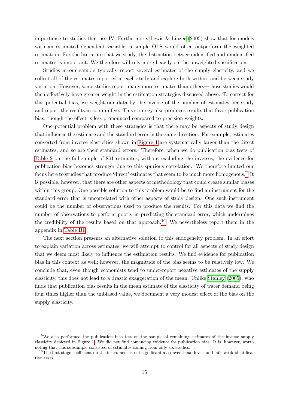importance to studies that use IV. Furthermore, [Lewis & Linzer](#page-31-23) [\(2005\)](#page-31-23) show that for models with an estimated dependent variable, a simple OLS would often outperform the weighted estimation. For the literature that we study, the distinction between identified and unidentified estimates is important. We therefore will rely more heavily on the unweighted specification.

Studies in our sample typically report several estimates of the supply elasticity, and we collect all of the estimates reported in each study and explore both within- and between-study variation. However, some studies report many more estimates than others—those studies would then effectively have greater weight in the estimation strategies discussed above. To correct for this potential bias, we weight our data by the inverse of the number of estimates per study and report the results in column five. This strategy also produces results that favor publication bias, though the effect is less pronounced compared to precision weights.

One potential problem with these strategies is that there may be aspects of study design that influence the estimate and the standard error in the same direction. For example, estimates converted from inverse elasticities shown in [Figure 1](#page-11-0) are systematically larger than the direct estimates, and so are their standard errors. Therefore, when we do publication bias tests of [Table 2](#page-15-1) on the full sample of 801 estimates, without excluding the inverses, the evidence for publication bias becomes stronger due to this spurious correlation. We therefore limited our focus here to studies that produce 'direct' estimates that seem to be much more homogenous.<sup>[9](#page-16-0)</sup> It is possible, however, that there are other aspects of methodology that could create similar biases within this group. One possible solution to this problem would be to find an instrument for the standard error that is uncorrelated with other aspects of study design. One such instrument could be the number of observations used to produce the results. For this data we find the number of observations to perform poorly in predicting the standard error, which undermines the credibility of the results based on that approach.<sup>[10](#page-16-1)</sup> We nevertheless report them in the appendix in [Table B1.](#page-35-0)

The next section presents an alternative solution to this endogeneity problem. In an effort to explain variation across estimates, we will attempt to control for all aspects of study design that we deem most likely to influence the estimation results. We find evidence for publication bias in this context as well; however, the magnitude of the bias seems to be relatively low. We conclude that, even though economists tend to under-report negative estimates of the supply elasticity, this does not lead to a drastic exaggeration of the mean. Unlike [Stanley](#page-31-19) [\(2005\)](#page-31-19), who finds that publication bias results in the mean estimate of the elasticity of water demand being four times higher than the unbiased value, we document a very modest effect of the bias on the supply elasticity.

<span id="page-16-0"></span><sup>9</sup>We also performed the publication bias test on the sample of remaining estimates of the inverse supply elasticity depicted in [Figure 1.](#page-11-0) We did not find convincing evidence for publication bias. It is, however, worth noting that this subsample consisted of estimates coming from only six studies.

<span id="page-16-1"></span><sup>&</sup>lt;sup>10</sup>The first stage coefficient on the instrument is not significant at conventional levels and fails weak identification tests.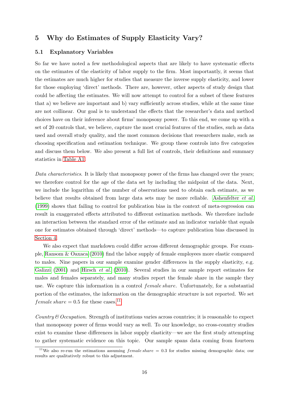## <span id="page-17-0"></span>5 Why do Estimates of Supply Elasticity Vary?

#### <span id="page-17-2"></span>5.1 Explanatory Variables

So far we have noted a few methodological aspects that are likely to have systematic effects on the estimates of the elasticity of labor supply to the firm. Most importantly, it seems that the estimates are much higher for studies that measure the inverse supply elasticity, and lower for those employing 'direct' methods. There are, however, other aspects of study design that could be affecting the estimates. We will now attempt to control for a subset of these features that a) we believe are important and b) vary sufficiently across studies, while at the same time are not collinear. Our goal is to understand the effects that the researcher's data and method choices have on their inference about firms' monopsony power. To this end, we come up with a set of 20 controls that, we believe, capture the most crucial features of the studies, such as data used and overall study quality, and the most common decisions that researchers make, such as choosing specification and estimation technique. We group these controls into five categories and discuss them below. We also present a full list of controls, their definitions and summary statistics in [Table A1.](#page-33-0)

Data characteristics. It is likely that monopsony power of the firms has changed over the years; we therefore control for the age of the data set by including the midpoint of the data. Next, we include the logarithm of the number of observations used to obtain each estimate, as we believe that results obtained from large data sets may be more reliable. [Ashenfelter](#page-29-20) et al. [\(1999\)](#page-29-20) shows that failing to control for publication bias in the context of meta-regression can result in exaggerated effects attributed to different estimation methods. We therefore include an interaction between the standard error of the estimate and an indicator variable that equals one for estimates obtained through 'direct' methods—to capture publication bias discussed in [Section 4.](#page-13-1)

We also expect that markdown could differ across different demographic groups. For example, [Ransom & Oaxaca](#page-31-24) [\(2010\)](#page-31-24) find the labor supply of female employees more elastic compared to males. Nine papers in our sample examine gender differences in the supply elasticity, e.g. [Galizzi](#page-30-18) [\(2001\)](#page-30-18) and [Hirsch](#page-30-19) et al. [\(2010\)](#page-30-19). Several studies in our sample report estimates for males and females separately, and many studies report the female share in the sample they use. We capture this information in a control *female share*. Unfortunately, for a substantial portion of the estimates, the information on the demographic structure is not reported. We set  $female share = 0.5$  for these cases.<sup>[11](#page-17-1)</sup>

Country  $\mathcal O$  Cocupation. Strength of institutions varies across countries; it is reasonable to expect that monopsony power of firms would vary as well. To our knowledge, no cross-country studies exist to examine these differences in labor supply elasticity—we are the first study attempting to gather systematic evidence on this topic. Our sample spans data coming from fourteen

<span id="page-17-1"></span><sup>&</sup>lt;sup>11</sup>We also re-run the estimations assuming  $female share = 0.3$  for studies missing demographic data; our results are qualitatively robust to this adjustment.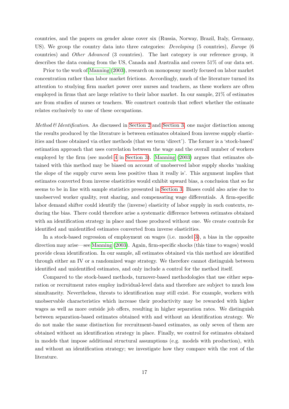countries, and the papers on gender alone cover six (Russia, Norway, Brazil, Italy, Germany, US). We group the country data into three categories: *Developing* (5 countries), *Europe* (6 countries) and Other Advanced (3 countries). The last category is our reference group, it describes the data coming from the US, Canada and Australia and covers 51% of our data set.

Prior to the work of [Manning](#page-31-0) [\(2003\)](#page-31-0), research on monopsony mostly focused on labor market concentration rather than labor market frictions. Accordingly, much of the literature turned its attention to studying firm market power over nurses and teachers, as these workers are often employed in firms that are large relative to their labor market. In our sample, 21% of estimates are from studies of nurses or teachers. We construct controls that reflect whether the estimate relates exclusively to one of these occupations.

Method  $\mathcal B$  Identification. As discussed in [Section 2](#page-6-2) and [Section 3,](#page-9-2) one major distinction among the results produced by the literature is between estimates obtained from inverse supply elasticities and those obtained via other methods (that we term 'direct'). The former is a 'stock-based' estimation approach that uses correlation between the wage and the overall number of workers employed by the firm (see model [4](#page-7-3) in [Section 3\)](#page-9-2). [Manning](#page-31-0) [\(2003\)](#page-31-0) argues that estimates obtained with this method may be biased on account of unobserved labor supply shocks 'making the slope of the supply curve seem less positive than it really is'. This argument implies that estimates converted from inverse elasticities would exhibit upward bias, a conclusion that so far seems to be in line with sample statistics presented in [Section 3.](#page-9-2) Biases could also arise due to unobserved worker quality, rent sharing, and compensating wage differentials. A firm-specific labor demand shifter could identify the (inverse) elasticity of labor supply in such contexts, reducing the bias. There could therefore arise a systematic difference between estimates obtained with an identification strategy in place and those produced without one. We create controls for identified and unidentified estimates converted from inverse elasticities.

In a stock-based regression of employment on wages (i.e. model [3\)](#page-7-0), a bias in the opposite direction may arise—see [Manning](#page-31-0) [\(2003\)](#page-31-0). Again, firm-specific shocks (this time to wages) would provide clean identification. In our sample, all estimates obtained via this method are identified through either an IV or a randomized wage strategy. We therefore cannot distinguish between identified and unidentified estimates, and only include a control for the method itself.

Compared to the stock-based methods, turnover-based methodologies that use either separation or recruitment rates employ individual-level data and therefore are subject to much less simultaneity. Nevertheless, threats to identification may still exist. For example, workers with unobservable characteristics which increase their productivity may be rewarded with higher wages as well as more outside job offers, resulting in higher separation rates. We distinguish between separation-based estimates obtained with and without an identification strategy. We do not make the same distinction for recruitment-based estimates, as only seven of them are obtained without an identification strategy in place. Finally, we control for estimates obtained in models that impose additional structural assumptions (e.g. models with production), with and without an identification strategy; we investigate how they compare with the rest of the literature.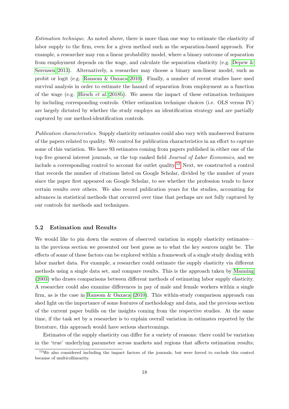Estimation technique. As noted above, there is more than one way to estimate the elasticity of labor supply to the firm, even for a given method such as the separation-based approach. For example, a researcher may run a linear probability model, where a binary outcome of separation from employment depends on the wage, and calculate the separation elasticity (e.g. [Depew &](#page-29-4) [Sørensen 2013\)](#page-29-4). Alternatively, a researcher may choose a binary non-linear model, such as probit or logit (e.g. [Ransom & Oaxaca 2010\)](#page-31-24). Finally, a number of recent studies have used survival analysis in order to estimate the hazard of separation from employment as a function of the wage (e.g. [Hirsch](#page-30-1) et al. [2018b\)](#page-30-1). We assess the impact of these estimation techniques by including corresponding controls. Other estimation technique choices (i.e. OLS versus IV) are largely dictated by whether the study employs an identification strategy and are partially captured by our method-identification controls.

Publication characteristics. Supply elasticity estimates could also vary with unobserved features of the papers related to quality. We control for publication characteristics in an effort to capture some of this variation. We have 93 estimates coming from papers published in either one of the top five general interest journals, or the top ranked field Journal of Labor Economics, and we include a corresponding control to account for outlet quality.<sup>[12](#page-19-0)</sup> Next, we constructed a control that records the number of citations listed on Google Scholar, divided by the number of years since the paper first appeared on Google Scholar, to see whether the profession tends to favor certain results over others. We also record publication years for the studies, accounting for advances in statistical methods that occurred over time that perhaps are not fully captured by our controls for methods and techniques.

#### 5.2 Estimation and Results

We would like to pin down the sources of observed variation in supply elasticity estimates in the previous section we presented our best guess as to what the key sources might be. The effects of some of these factors can be explored within a framework of a single study dealing with labor market data. For example, a researcher could estimate the supply elasticity via different methods using a single data set, and compare results. This is the approach taken by [Manning](#page-31-0) [\(2003\)](#page-31-0) who draws comparisons between different methods of estimating labor supply elasticity. A researcher could also examine differences in pay of male and female workers within a single firm, as is the case in [Ransom & Oaxaca](#page-31-24) [\(2010\)](#page-31-24). This within-study comparison approach can shed light on the importance of some features of methodology and data, and the previous section of the current paper builds on the insights coming from the respective studies. At the same time, if the task set by a researcher is to explain overall variation in estimates reported by the literature, this approach would have serious shortcomings.

Estimates of the supply elasticity can differ for a variety of reasons: there could be variation in the 'true' underlying parameter across markets and regions that affects estimation results;

<span id="page-19-0"></span> $12$ We also considered including the impact factors of the journals, but were forced to exclude this control because of multicollinearity.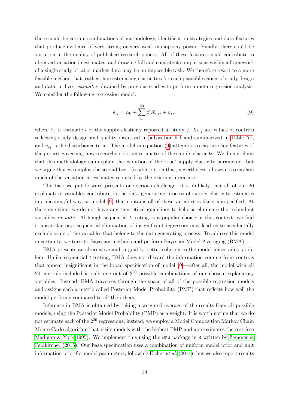there could be certain combinations of methodology, identification strategies and data features that produce evidence of very strong or very weak monopsony power. Finally, there could be variation in the quality of published research papers. All of these features could contribute to observed variation in estimates, and drawing full and consistent comparisons within a framework of a single study of labor market data may be an impossible task. We therefore resort to a more feasible method that, rather than estimating elasticities for each plausible choice of study design and data, utilizes estimates obtained by previous studies to perform a meta-regression analysis. We consider the following regression model:

<span id="page-20-0"></span>
$$
\hat{\epsilon}_{ij} = \alpha_0 + \sum_{l=1}^{20} \beta_l X_{l,ij} + u_{ij},
$$
\n(9)

where  $\hat{\epsilon}_{ij}$  is estimate i of the supply elasticity reported in study j,  $X_{l,ij}$  are values of controls reflecting study design and quality discussed in [subsection 5.1](#page-17-2) and summarized in [Table A1,](#page-33-0) and  $u_{ij}$  is the disturbance term. The model in equation [\(9\)](#page-20-0) attempts to capture key features of the process governing how researchers obtain estimates of the supply elasticity. We do not claim that this methodology can explain the evolution of the 'true' supply elasticity parameter—but we argue that we employ the second best, feasible option that, nevertheless, allows us to explain much of the variation in estimates reported by the existing literature.

The task we put forward presents one serious challenge: it is unlikely that all of our 20 explanatory variables contribute to the data generating process of supply elasticity estimates in a meaningful way, so model [\(9\)](#page-20-0) that contains all of these variables is likely misspecified. At the same time, we do not have any theoretical guidelines to help us eliminate the redundant variables *ex ante.* Although sequential t-testing is a popular choice in this context, we find it unsatisfactory: sequential elimination of insignificant regressors may lead us to accidentally exclude some of the variables that belong to the data generating process. To address this model uncertainty, we turn to Bayesian methods and perform Bayesian Model Averaging (BMA).

BMA presents an alternative and, arguably, better solution to the model uncertainty problem. Unlike sequential t-testing, BMA does not discard the information coming from controls that appear insignificant in the broad specification of model [\(9\)](#page-20-0)—after all, the model with all 20 controls included is only one out of  $2^{20}$  possible combinations of our chosen explanatory variables. Instead, BMA traverses through the space of all of the possible regression models and assigns each a metric called Posterior Model Probability (PMP) that reflects how well the model performs compared to all the others.

Inference in BMA is obtained by taking a weighted average of the results from all possible models, using the Posterior Model Probability (PMP) as a weight. It is worth noting that we do not estimate each of the  $2^{20}$  regressions; instead, we employ a Model Composition Markov Chain Monte Carlo algorithm that visits models with the highest PMP and approximates the rest (see [Madigan & York 1995\)](#page-31-25). We implement this using the BMS package in R written by Zeugner  $\&$ [Feldkircher](#page-32-3) [\(2015\)](#page-32-3). Our base specification uses a combination of uniform model prior and unit information prior for model parameters, following [Eicher](#page-30-20) *et al.*  $(2011)$ , but we also report results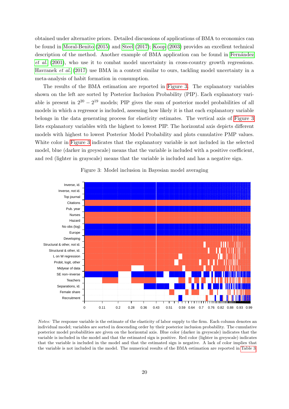obtained under alternative priors. Detailed discussions of applications of BMA to economics can be found in [Moral-Benito](#page-31-26) [\(2015\)](#page-31-26) and [Steel](#page-31-27) [\(2017\)](#page-31-27); [Koop](#page-30-21) [\(2003\)](#page-30-21) provides an excellent technical description of the method. Another example of BMA application can be found in Fernandez [et al.](#page-30-22) [\(2001\)](#page-30-22), who use it to combat model uncertainty in cross-country growth regressions. [Havranek](#page-30-6) et al. [\(2017\)](#page-30-6) use BMA in a context similar to ours, tackling model uncertainty in a meta-analysis of habit formation in consumption.

The results of the BMA estimation are reported in [Figure 3.](#page-21-0) The explanatory variables shown on the left are sorted by Posterior Inclusion Probability (PIP). Each explanatory variable is present in  $2^{20} - 2^{19}$  models; PIP gives the sum of posterior model probabilities of all models in which a regressor is included, assessing how likely it is that each explanatory variable belongs in the data generating process for elasticity estimates. The vertical axis of [Figure 3](#page-21-0) lists explanatory variables with the highest to lowest PIP. The horizontal axis depicts different models with highest to lowest Posterior Model Probability and plots cumulative PMP values. White color in [Figure 3](#page-21-0) indicates that the explanatory variable is not included in the selected model, blue (darker in greyscale) means that the variable is included with a positive coefficient, and red (lighter in grayscale) means that the variable is included and has a negative sign.

<span id="page-21-0"></span>

#### Figure 3: Model inclusion in Bayesian model averaging

Notes: The response variable is the estimate of the elasticity of labor supply to the firm. Each column denotes an individual model; variables are sorted in descending order by their posterior inclusion probability. The cumulative posterior model probabilities are given on the horizontal axis. Blue color (darker in greyscale) indicates that the variable is included in the model and that the estimated sign is positive. Red color (lighter in greyscale) indicates that the variable is included in the model and that the estimated sign is negative. A lack of color implies that the variable is not included in the model. The numerical results of the BMA estimation are reported in [Table 3.](#page-23-0)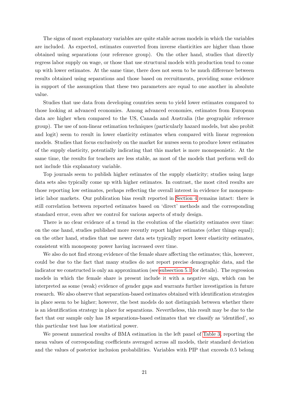The signs of most explanatory variables are quite stable across models in which the variables are included. As expected, estimates converted from inverse elasticities are higher than those obtained using separations (our reference group). On the other hand, studies that directly regress labor supply on wage, or those that use structural models with production tend to come up with lower estimates. At the same time, there does not seem to be much difference between results obtained using separations and those based on recruitments, providing some evidence in support of the assumption that these two parameters are equal to one another in absolute value.

Studies that use data from developing countries seem to yield lower estimates compared to those looking at advanced economies. Among advanced economies, estimates from European data are higher when compared to the US, Canada and Australia (the geographic reference group). The use of non-linear estimation techniques (particularly hazard models, but also probit and logit) seem to result in lower elasticity estimates when compared with linear regression models. Studies that focus exclusively on the market for nurses seem to produce lower estimates of the supply elasticity, potentially indicating that this market is more monopsonistic. At the same time, the results for teachers are less stable, as most of the models that perform well do not include this explanatory variable.

Top journals seem to publish higher estimates of the supply elasticity; studies using large data sets also typically come up with higher estimates. In contrast, the most cited results are those reporting low estimates, perhaps reflecting the overall interest in evidence for monopsonistic labor markets. Our publication bias result reported in [Section 4](#page-13-1) remains intact: there is still correlation between reported estimates based on 'direct' methods and the corresponding standard error, even after we control for various aspects of study design.

There is no clear evidence of a trend in the evolution of the elasticity estimates over time: on the one hand, studies published more recently report higher estimates (other things equal); on the other hand, studies that use newer data sets typically report lower elasticity estimates, consistent with monopsony power having increased over time.

We also do not find strong evidence of the female share affecting the estimates; this, however, could be due to the fact that many studies do not report precise demographic data, and the indicator we constructed is only an approximation (see [subsection 5.1](#page-17-2) for details). The regression models in which the female share is present include it with a negative sign, which can be interpreted as some (weak) evidence of gender gaps and warrants further investigation in future research. We also observe that separation-based estimates obtained with identification strategies in place seem to be higher; however, the best models do not distinguish between whether there is an identification strategy in place for separations. Nevertheless, this result may be due to the fact that our sample only has 18 separations-based estimates that we classify as 'identified', so this particular test has low statistical power.

We present numerical results of BMA estimation in the left panel of [Table 3,](#page-23-0) reporting the mean values of corresponding coefficients averaged across all models, their standard deviation and the values of posterior inclusion probabilities. Variables with PIP that exceeds 0.5 belong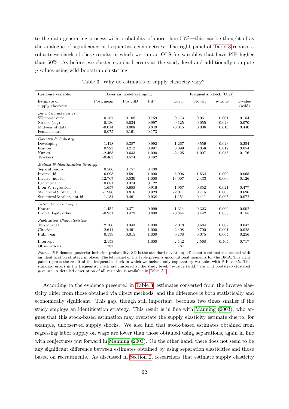to the data generating process with probability of more than 50%—this can be thought of as the analogue of significance in frequentist econometrics. The right panel of [Table 3](#page-23-0) reports a robustness check of these results in which we run an OLS for variables that have PIP higher than 50%. As before, we cluster standard errors at the study level and additionally compute p-values using wild bootstrap clustering.

<span id="page-23-0"></span>

| Response variable:                           |            | Bayesian model averaging |       | Frequentist check (OLS) |          |            |                      |
|----------------------------------------------|------------|--------------------------|-------|-------------------------|----------|------------|----------------------|
| Estimate of<br>supply elasticity             | Post, mean | Post. SD                 | PIP   | Coef.                   | Std. er. | $p$ -value | $p$ -value<br>(wild) |
| Data Characteristics                         |            |                          |       |                         |          |            |                      |
| SE non-inverse                               | 0.157      | 0.108                    | 0.759 | 0.173                   | 0.051    | 0.001      | 0.154                |
| No obs $(\log)$                              | 0.136      | 0.034                    | 0.997 | 0.125                   | 0.055    | 0.023      | 0.070                |
| Midyear of data                              | $-0.014$   | 0.008                    | 0.849 | $-0.015$                | 0.006    | 0.010      | 0.440                |
| Female share                                 | $-0.075$   | 0.191                    | 0.173 |                         |          |            |                      |
| Country $\mathcal C$ Industry                |            |                          |       |                         |          |            |                      |
| Developing                                   | $-1.418$   | 0.387                    | 0.992 | $-1.267$                | 0.559    | 0.023      | 0.254                |
| Europe                                       | 0.923      | 0.212                    | 0.997 | 0.899                   | 0.358    | 0.012      | 0.054                |
| <b>Nurses</b>                                | $-2.463$   | 0.633                    | 1.000 | $-2.125$                | 1.097    | 0.053      | 0.176                |
| Teachers                                     | $-0.463$   | 0.574                    | 0.482 |                         |          |            |                      |
| Method $\mathcal{B}$ Identification Strategy |            |                          |       |                         |          |            |                      |
| Separations, id.                             | 0.566      | 0.757                    | 0.430 |                         |          |            |                      |
| Inverse, id.                                 | 6.093      | 0.591                    | 1.000 | 5.906                   | 1.534    | 0.000      | 0.065                |
| Inverse, not id.                             | 12.767     | 0.530                    | 1.000 | 13.007                  | 2.433    | 0.000      | 0.126                |
| Recruitment                                  | 0.081      | 0.374                    | 0.122 |                         |          |            |                      |
| L on W regression                            | $-1.657$   | 0.688                    | 0.916 | $-1.967$                | 0.852    | 0.021      | 0.477                |
| Structural & other, id.                      | $-1.986$   | 0.816                    | 0.929 | $-2.011$                | 0.715    | 0.005      | 0.696                |
| Structural & other, not id.                  | $-1.131$   | 0.461                    | 0.938 | $-1.151$                | 0.411    | 0.005      | 0.072                |
| Estimation Technique                         |            |                          |       |                         |          |            |                      |
| Hazard                                       | $-1.452$   | 0.371                    | 0.999 | $-1.314$                | 0.323    | 0.000      | 0.002                |
| Probit, logit, other                         | $-0.931$   | 0.479                    | 0.890 | $-0.844$                | 0.442    | 0.056      | 0.155                |
| Publication Characteristics                  |            |                          |       |                         |          |            |                      |
| Top journal                                  | 2.106      | 0.343                    | 1.000 | 2.078                   | 0.684    | 0.002      | 0.047                |
| Citations                                    | $-2.641$   | 0.491                    | 1.000 | $-2.408$                | 0.700    | 0.001      | 0.028                |
| Pub. year                                    | 0.139      | 0.015                    | 1.000 | 0.138                   | 0.075    | 0.064      | 0.256                |
| Intercept                                    | $-2.153$   |                          | 1.000 | $-2.142$                | 2.568    | 0.404      | 0.717                |
| Observations                                 | 787        |                          |       | 787                     |          |            |                      |

Table 3: Why do estimates of supply elasticity vary?

Notes: PIP denotes posterior inclusion probability; SD is the standard deviation; 'id' denotes estimates obtained with an identification strategy in place. The left panel of the table presents unconditional moments for the BMA. The right panel reports the result of the frequentist check in which we include only explanatory variables with  $PIP > 0.5$ . The standard errors in the frequentist check are clustered at the study level. 'p-value (wild)' are wild bootstrap clustered p-values. A detailed description of all variables is available in [Table A1.](#page-33-0)

According to the evidence presented in [Table 3,](#page-23-0) estimates converted from the inverse elasticity differ from those obtained via direct methods, and the difference is both statistically and economically significant. This gap, though still important, becomes two times smaller if the study employs an identification strategy. This result is in line with [Manning](#page-31-0) [\(2003\)](#page-31-0), who argues that this stock-based estimation may overstate the supply elasticity estimate due to, for example, unobserved supply shocks. We also find that stock-based estimates obtained from regressing labor supply on wage are lower than those obtained using separations, again in line with conjectures put forward in [Manning](#page-31-0) [\(2003\)](#page-31-0). On the other hand, there does not seem to be any significant difference between estimates obtained by using separation elasticities and those based on recruitments. As discussed in [Section 2,](#page-6-2) researchers that estimate supply elasticity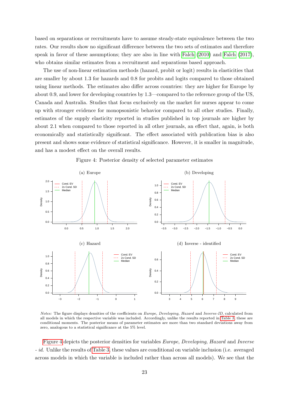based on separations or recruitments have to assume steady-state equivalence between the two rates. Our results show no significant difference between the two sets of estimates and therefore speak in favor of these assumptions; they are also in line with [Falch](#page-30-9) [\(2010\)](#page-30-9) and [Falch](#page-30-11) [\(2017\)](#page-30-11), who obtains similar estimates from a recruitment and separations based approach.

The use of non-linear estimation methods (hazard, probit or logit) results in elasticities that are smaller by about 1.3 for hazards and 0.8 for probits and logits compared to those obtained using linear methods. The estimates also differ across countries: they are higher for Europe by about 0.9, and lower for developing countries by 1.3—compared to the reference group of the US, Canada and Australia. Studies that focus exclusively on the market for nurses appear to come up with stronger evidence for monopsonistic behavior compared to all other studies. Finally, estimates of the supply elasticity reported in studies published in top journals are higher by about 2.1 when compared to those reported in all other journals, an effect that, again, is both economically and statistically significant. The effect associated with publication bias is also present and shows some evidence of statistical significance. However, it is smaller in magnitude, and has a modest effect on the overall results.

<span id="page-24-0"></span>

Figure 4: Posterior density of selected parameter estimates

Notes: The figure displays densities of the coefficients on Europe, Developing, Hazard and Inverse-ID, calculated from all models in which the respective variable was included. Accordingly, unlike the results reported in [Table 3,](#page-23-0) these are conditional moments. The posterior means of parameter estimates are more than two standard deviations away from zero, analogous to a statistical significance at the 5% level.

[Figure 4](#page-24-0) depicts the posterior densities for variables Europe, Developing, Hazard and Inverse - id. Unlike the results of [Table 3,](#page-23-0) these values are conditional on variable inclusion (i.e. averaged across models in which the variable is included rather than across all models). We see that the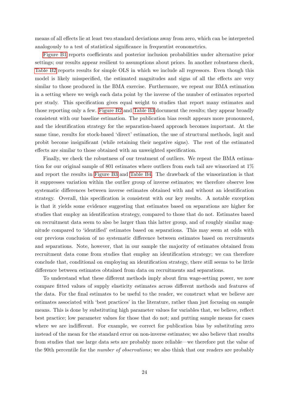means of all effects lie at least two standard deviations away from zero, which can be interpreted analogously to a test of statistical significance in frequentist econometrics.

[Figure B1](#page-36-0) reports coefficients and posterior inclusion probabilities under alternative prior settings; our results appear resilient to assumptions about priors. In another robustness check, [Table B2](#page-37-0) reports results for simple OLS in which we include all regressors. Even though this model is likely misspecified, the estimated magnitudes and signs of all the effects are very similar to those produced in the BMA exercise. Furthermore, we repeat our BMA estimation in a setting where we weigh each data point by the inverse of the number of estimates reported per study. This specification gives equal weight to studies that report many estimates and those reporting only a few. [Figure B2](#page-38-0) and [Table B3](#page-39-0) document the results; they appear broadly consistent with our baseline estimation. The publication bias result appears more pronounced, and the identification strategy for the separation-based approach becomes important. At the same time, results for stock-based 'direct' estimation, the use of structural methods, logit and probit become insignificant (while retaining their negative signs). The rest of the estimated effects are similar to those obtained with an unweighted specification.

Finally, we check the robustness of our treatment of outliers. We repeat the BMA estimation for our original sample of 801 estimates where outliers from each tail are winsorized at 1% and report the results in [Figure B3](#page-40-0) and [Table B4.](#page-41-0) The drawback of the winsorization is that it suppresses variation within the outlier group of inverse estimates; we therefore observe less systematic differences between inverse estimates obtained with and without an identification strategy. Overall, this specification is consistent with our key results. A notable exception is that it yields some evidence suggesting that estimates based on separations are higher for studies that employ an identification strategy, compared to those that do not. Estimates based on recruitment data seem to also be larger than this latter group, and of roughly similar magnitude compared to 'identified' estimates based on separations. This may seem at odds with our previous conclusion of no systematic difference between estimates based on recruitments and separations. Note, however, that in our sample the majority of estimates obtained from recruitment data come from studies that employ an identification strategy; we can therefore conclude that, conditional on employing an identification strategy, there still seems to be little difference between estimates obtained from data on recruitments and separations.

To understand what these different methods imply about firm wage-setting power, we now compare fitted values of supply elasticity estimates across different methods and features of the data. For the final estimates to be useful to the reader, we construct what we believe are estimates associated with 'best practices' in the literature, rather than just focusing on sample means. This is done by substituting high parameter values for variables that, we believe, reflect best practice; low parameter values for those that do not; and putting sample means for cases where we are indifferent. For example, we correct for publication bias by substituting zero instead of the mean for the standard error on non-inverse estimates; we also believe that results from studies that use large data sets are probably more reliable—we therefore put the value of the 90th percentile for the *number of observations*; we also think that our readers are probably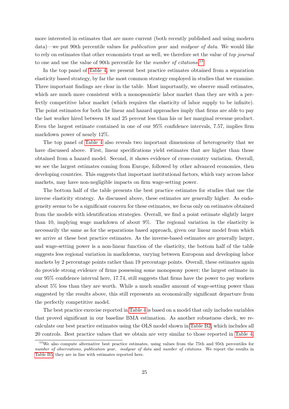more interested in estimates that are more current (both recently published and using modern data)—we put 90th percentile values for publication year and midyear of data. We would like to rely on estimates that other economists trust as well, we therefore set the value of top journal to one and use the value of 90th percentile for the *number of citations*.<sup>[13](#page-26-0)</sup>

In the top panel of [Table 4,](#page-27-0) we present best practice estimates obtained from a separation elasticity based strategy, by far the most common strategy employed in studies that we examine. Three important findings are clear in the table. Most importantly, we observe small estimates, which are much more consistent with a monopsonistic labor market than they are with a perfectly competitive labor market (which requires the elasticity of labor supply to be infinite). The point estimates for both the linear and hazard approaches imply that firms are able to pay the last worker hired between 18 and 25 percent less than his or her marginal revenue product. Even the largest estimate contained in one of our 95% confidence intervals, 7.57, implies firm markdown power of nearly 12%.

The top panel of [Table 4](#page-27-0) also reveals two important dimensions of heterogeneity that we have discussed above. First, linear specifications yield estimates that are higher than those obtained from a hazard model. Second, it shows evidence of cross-country variation. Overall, we see the largest estimates coming from Europe, followed by other advanced economies, then developing countries. This suggests that important institutional factors, which vary across labor markets, may have non-negligible impacts on firm wage-setting power.

The bottom half of the table presents the best practice estimates for studies that use the inverse elasticity strategy. As discussed above, these estimates are generally higher. As endogeneity seems to be a significant concern for these estimates, we focus only on estimates obtained from the models with identification strategies. Overall, we find a point estimate slightly larger than 10, implying wage markdown of about 9%. The regional variation in the elasticity is necessarily the same as for the separations based approach, given our linear model from which we arrive at these best practice estimates. As the inverse-based estimates are generally larger, and wage-setting power is a non-linear function of the elasticity, the bottom half of the table suggests less regional variation in markdowns, varying between European and developing labor markets by 2 percentage points rather than 19 percentage points. Overall, these estimates again do provide strong evidence of firms possessing some monopsony power; the largest estimate in our 95% confidence interval here, 17.74, still suggests that firms have the power to pay workers about 5% less than they are worth. While a much smaller amount of wage-setting power than suggested by the results above, this still represents an economically significant departure from the perfectly competitive model.

The best practice exercise reported in [Table 4](#page-27-0) is based on a model that only includes variables that proved significant in our baseline BMA estimation. As another robustness check, we recalculate our best practice estimates using the OLS model shown in [Table B2,](#page-37-0) which includes all 20 controls. Best practice values that we obtain are very similar to those reported in [Table 4,](#page-27-0)

<span id="page-26-0"></span><sup>&</sup>lt;sup>13</sup>We also compute alternative best practice estimates, using values from the 75th and 95th percentiles for number of observations, publication year, midyear of data and number of citations. We report the results in [Table B5;](#page-42-0) they are in line with estimates reported here.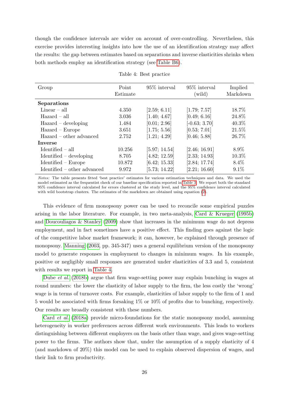though the confidence intervals are wider on account of over-controlling. Nevertheless, this exercise provides interesting insights into how the use of an identification strategy may affect the results: the gap between estimates based on separations and inverse elasticities shrinks when both methods employ an identification strategy (see [Table B6\)](#page-43-0).

<span id="page-27-0"></span>

| Group                         | Point<br>Estimate | $95\%$ interval | 95\% interval<br>(wild) | Implied<br>Markdown |
|-------------------------------|-------------------|-----------------|-------------------------|---------------------|
| Separations                   |                   |                 |                         |                     |
| $Linear - all$                | 4.350             | [2.59; 6.11]    | [1.79; 7.57]            | 18.7%               |
| $\rm\,Hazard - all$           | 3.036             | [1.40; 4.67]    | [0.49; 6.16]            | 24.8%               |
| $\rm Hazard$ – developing     | 1.484             | [0.01; 2.96]    | $[-0.63; 3.70]$         | $40.3\%$            |
| $Hazard - Europe$             | 3.651             | [1.75; 5.56]    | [0.53; 7.01]            | $21.5\%$            |
| Hazard – other advanced       | 2.752             | [1.21; 4.29]    | [0.46; 5.88]            | 26.7%               |
| <b>Inverse</b>                |                   |                 |                         |                     |
| $Identified - all$            | 10.256            | [5.97; 14.54]   | [2.46; 16.91]           | 8.9%                |
| $Identified - developing$     | 8.705             | [4.82; 12.59]   | [2.33; 14.93]           | 10.3%               |
| $Identified - Europe$         | 10.872            | [6.42; 15.33]   | [2.84; 17.74]           | 8.4\%               |
| $Identified - other advanced$ | 9.972             | [5.73; 14.22]   | [2.21; 16.60]           | $9.1\%$             |

| Table 4: Best practice |  |  |
|------------------------|--|--|
|------------------------|--|--|

Notes: The table presents fitted 'best practice' estimates for various estimation techniques and data. We used the model estimated as the frequentist check of our baseline specification reported in [Table 3.](#page-23-0) We report both the standard 95% confidence interval calculated for errors clustered at the study level, and the 95% confidence interval calculated with wild bootstrap clusters. The estimates of the markdown are obtained using equation  $(2)$ .

This evidence of firm monopsony power can be used to reconcile some empirical puzzles arising in the labor literature. For example, in two meta-analysis, [Card & Krueger](#page-29-6) [\(1995b\)](#page-29-6) and [Doucouliagos & Stanley](#page-29-7) [\(2009\)](#page-29-7) show that increases in the minimum wage do not depress employment, and in fact sometimes have a positive effect. This finding goes against the logic of the competitive labor market framework; it can, however, be explained through presence of monopsony. [Manning](#page-31-0) [\(2003,](#page-31-0) pp. 345-347) uses a general equilibrium version of the monopsony model to generate responses in employment to changes in minimum wages. In his example, positive or negligibly small responses are generated under elasticities of 3.3 and 5, consistent with results we report in [Table 4.](#page-27-0)

[Dube](#page-30-4) et al. [\(2018b\)](#page-30-4) argue that firm wage-setting power may explain bunching in wages at round numbers: the lower the elasticity of labor supply to the firm, the less costly the 'wrong' wage is in terms of turnover costs. For example, elasticities of labor supply to the firm of 1 and 5 would be associated with firms forsaking 1% or 10% of profits due to bunching, respectively. Our results are broadly consistent with these numbers.

Card [et al.](#page-29-5) [\(2018a\)](#page-29-5) provide micro-foundations for the static monopsony model, assuming heterogeneity in worker preferences across different work environments. This leads to workers distinguishing between different employers on the basis other than wage, and gives wage-setting power to the firms. The authors show that, under the assumption of a supply elasticity of 4 (and markdown of 20%) this model can be used to explain observed dispersion of wages, and their link to firm productivity.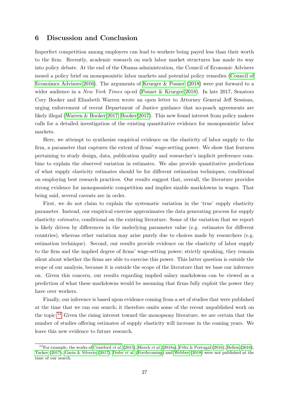### 6 Discussion and Conclusion

Imperfect competition among employers can lead to workers being payed less than their worth to the firm. Recently, academic research on such labor market structures has made its way into policy debate. At the end of the Obama administration, the Council of Economic Advisers issued a policy brief on monopsonistic labor markets and potential policy remedies [\(Council of](#page-29-22) [Econoimcs Advisors 2016\)](#page-29-22). The arguments of [Krueger & Posner](#page-30-0) [\(2018\)](#page-30-0) were put forward to a wider audience in a New York Times op-ed [\(Posner & Krueger 2018\)](#page-31-28). In late 2017, Senators Cory Booker and Elizabeth Warren wrote an open letter to Attorney General Jeff Sessions, urging enforcement of recent Department of Justice guidance that no-poach agreements are likely illegal [\(Warren & Booker 2017;](#page-32-4) [Booker 2017\)](#page-29-23). This new found interest from policy makers calls for a detailed investigation of the existing quantitative evidence for monopsonistic labor markets.

Here, we attempt to synthesize empirical evidence on the elasticity of labor supply to the firm, a parameter that captures the extent of firms' wage-setting power. We show that features pertaining to study design, data, publication quality and researcher's implicit preference combine to explain the observed variation in estimates. We also provide quantitative predictions of what supply elasticity estimates should be for different estimation techniques, conditional on employing best research practices. Our results suggest that, overall, the literature provides strong evidence for monopsonistic competition and implies sizable markdowns in wages. That being said, several caveats are in order.

First, we do not claim to explain the systematic variation in the 'true' supply elasticity parameter. Instead, our empirical exercise approximates the data generating process for supply elasticity estimates, conditional on the existing literature. Some of the variation that we report is likely driven by differences in the underlying parameter value (e.g. estimates for different countries), whereas other variation may arise purely due to choices made by researchers (e.g. estimation technique). Second, our results provide evidence on the elasticity of labor supply to the firm and the implied degree of firms' wage-setting power; strictly speaking, they remain silent about whether the firms are able to exercise this power. This latter question is outside the scope of our analysis, because it is outside the scope of the literature that we base our inference on. Given this concern, our results regarding implied salary markdowns can be viewed as a prediction of what these markdowns would be assuming that firms fully exploit the power they have over workers.

Finally, our inference is based upon evidence coming from a set of studies that were published at the time that we ran our search; it therefore omits some of the recent unpublished work on the topic.[14](#page-28-0) Given the rising interest toward the monopsony literature, we are certain that the number of studies offering estimates of supply elasticity will increase in the coming years. We leave this new evidence to future research.

<span id="page-28-0"></span><sup>&</sup>lt;sup>14</sup>For example, the works of [Crawford](#page-29-24) et al. [\(2015\)](#page-29-24), [Hirsch](#page-30-2) et al. [\(2018a\)](#page-30-2), Félix & Portugal [\(2016\)](#page-29-25), [Bellon](#page-29-25) (2016), [Tucker](#page-32-5) [\(2017\)](#page-32-5), [Garin & Silverio](#page-30-24) [\(2017\)](#page-30-24), [Dube](#page-30-8) et al. [\(Forthcoming\)](#page-30-8) and [Webber](#page-32-0) [\(2018\)](#page-32-0) were not published at the time of our search.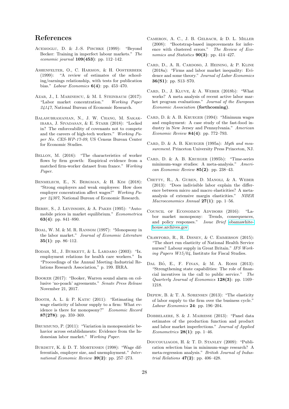# References

- <span id="page-29-3"></span>ACEMOGLU, D. & J.-S. PISCHKE (1999): "Beyond Becker: Training in imperfect labour markets." The economic journal  $109(453)$ : pp. 112–142.
- <span id="page-29-20"></span>Ashenfelter, O., C. Harmon, & H. Oosterbeek (1999): "A review of estimates of the schooling/earnings relationship, with tests for publication bias." Labour Economics 6(4): pp. 453–470.
- <span id="page-29-2"></span>AZAR, J., I. MARINESCU, & M. I. STEINBAUM (2017): "Labor market concentration." Working Paper 24147, National Bureau of Economic Research.
- <span id="page-29-13"></span>Balasubramanian, N., J. W. Chang, M. Sakakibara, J. Sivadasan, & E. Starr (2018): "Locked in? The enforceability of covenants not to compete and the careers of high-tech workers." Working Paper No. CES-WP-17-09, US Census Bureau Center for Economic Studies.
- <span id="page-29-25"></span>Bellon, M. (2016): "The characteristics of worker flows by firm growth: Empirical evidence from a matched firm-worker dataset from france." Working Paper.
- <span id="page-29-12"></span>Benmelech, E., N. Bergman, & H. Kim (2018): "Strong employers and weak employees: How does employer concentration affect wages?" Working Paper 24307, National Bureau of Economic Research.
- <span id="page-29-14"></span>BERRY, S., J. LEVINSOHN, & A. PAKES (1995): "Automobile prices in market equilibrium." Econometrica 63(4): pp. 841–890.
- <span id="page-29-19"></span>Boal, W. M. & M. R. Ransom (1997): "Monopsony in the labor market." Journal of Economic Literature 35(1): pp. 86–112.
- <span id="page-29-15"></span>BODAH, M., J. BURKETT, & L. LARDARO (2003): "Ix. employment relations for health care workers." In "Proceedings of the Annual Meeting–Industrial Relations Research Association," p. 199. IRRA.
- <span id="page-29-23"></span>BOOKER (2017): "Booker, Warren sound alarm on collusive 'no-poach' agreements." Senate Press Release November 21, 2017.
- <span id="page-29-17"></span>BOOTH, A. L. & P. KATIC (2011): "Estimating the wage elasticity of labour supply to a firm: What evidence is there for monopsony?" Economic Record 87(278): pp. 359–369.
- <span id="page-29-11"></span>BRUMMUND, P. (2011): "Variation in monopsonistic behavior across establishments: Evidence from the Indonesian labor market." Working Paper.
- <span id="page-29-10"></span>BURDETT, K. & D. T. MORTENSEN (1998): "Wage differentials, employer size, and unemployment." International Economic Review 39(2): pp. 257-273.
- <span id="page-29-21"></span>Cameron, A. C., J. B. Gelbach, & D. L. Miller (2008): "Bootstrap-based improvements for inference with clustered errors." The Review of Economics and Statistics  $90(3)$ : pp. 414-427.
- <span id="page-29-5"></span>Card, D., A. R. Cardoso, J. Heining, & P. Kline (2018a): "Firms and labor market inequality: Evidence and some theory." Journal of Labor Economics 36(S1): pp. S13–S70.
- <span id="page-29-8"></span>Card, D., J. Kluve, & A. Weber (2018b): "What works? A meta analysis of recent active labor market program evaluations." Journal of the European Economic Association (forthcoming).
- <span id="page-29-0"></span>CARD, D. & A. B. KRUEGER  $(1994)$ : "Minimum wages and employment: A case study of the fast-food industry in New Jersey and Pennsylvania." American Economic Review 84(4): pp. 772–793.
- <span id="page-29-1"></span>CARD, D. & A. B. KRUEGER (1995a): Myth and measurement. Princeton University Press Princeton, NJ.
- <span id="page-29-6"></span>Card, D. & A. B. Krueger (1995b): "Time-series minimum-wage studies: A meta-analysis." American Economic Review  $85(2)$ : pp. 238-43.
- <span id="page-29-9"></span>Chetty, R., A. Guren, D. Manoli, & A. Weber (2013): "Does indivisible labor explain the difference between micro and macro elasticities? A metaanalysis of extensive margin elasticities." NBER Macroeconomics Annual  $27(1)$ : pp. 1–56.
- <span id="page-29-22"></span>Council of Econoimcs Advisors (2016): "Labor market monopsony: Trends, consequences, and policy responses." Issue Brief [obamawhite](https://obamawhitehouse.archives.gov/sites/default/files/page/files/20161025_monopsony_labor_mrkt_cea.pdf)[house.archives.gov.](https://obamawhitehouse.archives.gov/sites/default/files/page/files/20161025_monopsony_labor_mrkt_cea.pdf)
- <span id="page-29-24"></span>Crawford, R., R. Disney, & C. Emmerson (2015): "The short run elasticity of National Health Service nurses? Labour supply in Great Britain." IFS Working Papers W15/04, Institute for Fiscal Studies.
- <span id="page-29-16"></span>DAL BÓ, E., F. FINAN, & M. A. ROSSI (2013): "Strengthening state capabilities: The role of financial incentives in the call to public service." The Quarterly Journal of Economics 128(3): pp. 1169– 1218.
- <span id="page-29-4"></span>Depew, B. & T. A. Sørensen (2013): "The elasticity of labor supply to the firm over the business cycle." Labour Economics 24: pp. 196–204.
- <span id="page-29-18"></span>Dobbelaere, S. & J. Mairesse (2013): "Panel data estimates of the production function and product and labor market imperfections." Journal of Applied Econometrics  $28(1)$ : pp. 1–46.
- <span id="page-29-7"></span>Doucouliagos, H. & T. D. Stanley (2009): "Publication selection bias in minimum-wage research? A meta-regression analysis." British Journal of Industrial Relations  $47(2)$ : pp. 406-428.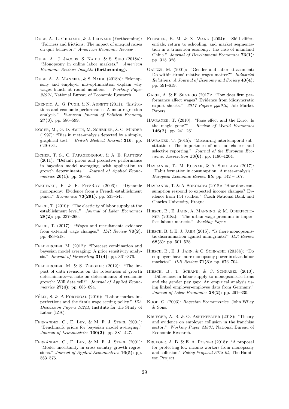- <span id="page-30-8"></span>DUBE, A., L. GIULIANO, & J. LEONARD (Forthcoming): "Fairness and frictions: The impact of unequal raises on quit behavior." American Economic Review .
- <span id="page-30-12"></span>DUBE, A., J. JACOBS, S. NAIDU, & S. SURI (2018a): "Monopsony in online labor markets." American Economic Review: Insights (forthcoming).
- <span id="page-30-4"></span>DUBE, A., A. MANNING, & S. NAIDU (2018b): "Monopsony and employer mis-optimization explain why wages bunch at round numbers." Working Paper 24991, National Bureau of Economic Research.
- <span id="page-30-16"></span>EFENDIC, A., G. PUGH,  $&$  N. ADNETT (2011): "Institutions and economic performance: A meta-regression analysis." European Journal of Political Economy  $27(3)$ : pp. 586-599.
- <span id="page-30-17"></span>Egger, M., G. D. Smith, M. Scheider, & C. Minder (1997): "Bias in meta-analysis detected by a simple, graphical test." British Medical Journal 316: pp. 629–634.
- <span id="page-30-20"></span>Eicher, T. S., C. Papageorgiou, & A. E. Raftery (2011): "Default priors and predictive performance in bayesian model averaging, with application to growth determinants." Journal of Applied Econometrics **26(1)**: pp. 30–55.
- <span id="page-30-10"></span>Fakhfakh, F. & F. FitzRoy (2006): "Dynamic monopsony: Evidence from a French establishment panel." Economica 73(291): pp. 533–545.
- <span id="page-30-9"></span>FALCH, T.  $(2010)$ : "The elasticity of labor supply at the establishment level." Journal of Labor Economics  $28(2)$ : pp. 237-266.
- <span id="page-30-11"></span>FALCH, T. (2017): "Wages and recruitment: evidence from external wage changes."  $ILR$   $Review$   $70(2)$ : pp. 483–518.
- <span id="page-30-26"></span>FELDKIRCHER, M. (2012): "Forecast combination and bayesian model averaging: A prior sensitivity analysis." Journal of Forecasting  $31(4)$ : pp. 361-376.
- <span id="page-30-27"></span>Feldkircher, M. & S. Zeugner (2012): "The impact of data revisions on the robustness of growth determinants—a note on determinants of economic growth: Will data tell?" Journal of Applied Econometrics  $27(4)$ : pp. 686–694.
- <span id="page-30-23"></span>FÉLIX, S. & P. PORTUGAL  $(2016)$ : "Labor market imperfections and the firm's wage setting policy." IZA Discussion Papers 10241, Institute for the Study of Labor (IZA).
- <span id="page-30-25"></span>Fernandez, C., E. Ley, & M. F. J. Steel (2001): "Benchmark priors for bayesian model averaging." Journal of Econometrics 100(2): pp. 381-427.
- <span id="page-30-22"></span>FERNÁNDEZ, C., E. LEY,  $\&$  M. F. J. STEEL (2001): "Model uncertainty in cross-country growth regressions." Journal of Applied Econometrics 16(5): pp. 563–576.
- <span id="page-30-13"></span>Fleisher, B. M. & X. Wang (2004): "Skill differentials, return to schooling, and market segmentation in a transition economy: the case of mainland China." Journal of Development Economics 73(1): pp. 315–328.
- <span id="page-30-18"></span>Galizzi, M. (2001): "Gender and labor attachment: Do within-firms' relative wages matter?" Industrial Relations: A Journal of Economy and Society 40(4): pp. 591–619.
- <span id="page-30-24"></span>Garin, A. & F. Silverio (2017): "How does firm performance affect wages? Evidence from idiosyncratic export shocks." 2017 Papers pga940, Job Market Papers.
- <span id="page-30-14"></span>HAVRANEK, T. (2010): "Rose effect and the Euro: Is the magic gone?" Review of World Economics 146(2): pp. 241–261.
- <span id="page-30-5"></span>HAVRANEK, T. (2015): "Measuring intertemporal substitution: The importance of method choices and selective reporting." Journal of the European Economic Association 13(6): pp. 1180-1204.
- <span id="page-30-6"></span>Havranek, T., M. Rusnak, & A. Sokolova (2017): "Habit formation in consumption: A meta-analysis." European Economic Review 95: pp. 142 – 167.
- <span id="page-30-15"></span>Havranek, T. & A. Sokolova (2018): "How does consumption respond to expected income changes? Evidence from 144 studies." Czech National Bank and Charles University, Prague.
- <span id="page-30-2"></span>Hirsch, B., E. Jahn, A. Manning, & M. Oberfichtner (2018a): "The urban wage premium in imperfect labour markets." Working Paper.
- <span id="page-30-3"></span>HIRSCH, B. & E. J. JAHN  $(2015)$ : "Is there monopsonistic discrimination against immigrants?" ILR Review 68(3): pp. 501–528.
- <span id="page-30-1"></span>Hirsch, B., E. J. Jahn, & C. Schnabel (2018b): "Do employers have more monopsony power in slack labor markets?" ILR Review **71(3)**: pp. 676–704.
- <span id="page-30-19"></span>HIRSCH, B., T. SCHANK, & C. SCHNABEL (2010): "Differences in labor supply to monopsonistic firms and the gender pay gap: An empirical analysis using linked employer-employee data from Germany." Journal of Labor Economics 28(2): pp. 291–330.
- <span id="page-30-21"></span>Koop, G. (2003): Bayesian Econometrics. John Wiley & Sons.
- <span id="page-30-7"></span>Krueger, A. B. & O. Ashenfelter (2018): "Theory and evidence on employer collusion in the franchise sector." Working Paper 24831, National Bureau of Economic Research.
- <span id="page-30-0"></span>Krueger, A. B. & E. A. Posner (2018): "A proposal for protecting low-income workers from monopsony and collusion." Policy Proposal 2018-05, The Hamilton Project.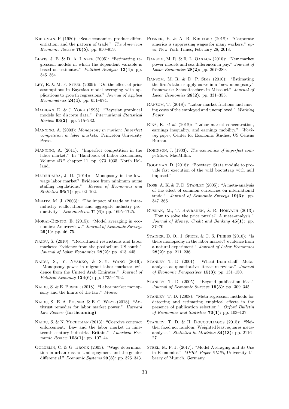- <span id="page-31-8"></span>Krugman, P. (1980): "Scale economies, product differentiation, and the pattern of trade." The American Economic Review 70(5): pp. 950–959.
- <span id="page-31-23"></span>Lewis, J. B. & D. A. Linzer (2005): "Estimating regression models in which the dependent variable is based on estimates." Political Analysis 13(4): pp. 345–364.
- <span id="page-31-29"></span>LEY, E. & M. F. STEEL  $(2009)$ : "On the effect of prior assumptions in Bayesian model averaging with applications to growth regressions." Journal of Applied *Econometrics* **24(4)**: pp. 651–674.
- <span id="page-31-25"></span>Madigan, D. & J. York (1995): "Bayesian graphical models for discrete data." International Statistical Review 63(2): pp. 215–232.
- <span id="page-31-0"></span>Manning, A. (2003): Monopsony in motion: Imperfect competition in labor markets. Princeton University Press.
- <span id="page-31-15"></span>Manning, A. (2011): "Imperfect competition in the labor market." In "Handbook of Labor Economics, Volume 4B," chapter 11, pp. 973–1035. North Holland.
- <span id="page-31-11"></span>MATSUDAIRA, J. D. (2014): "Monopsony in the lowwage labor market? Evidence from minimum nurse staffing regulations." Review of Economics and Statistics 96(1): pp. 92–102.
- <span id="page-31-9"></span>Melitz, M. J. (2003): "The impact of trade on intraindustry reallocations and aggregate industry productivity." Econometrica 71(6): pp. 1695–1725.
- <span id="page-31-26"></span>MORAL-BENITO, E. (2015): "Model averaging in economics: An overview." Journal of Economic Surveys 29(1): pp. 46–75.
- <span id="page-31-5"></span>NAIDU, S. (2010): "Recruitment restrictions and labor markets: Evidence from the postbellum US south." Journal of Labor Economics 28(2): pp. 413–445.
- <span id="page-31-13"></span>Naidu, S., Y. Nyarko, & S.-Y. Wang (2016): "Monopsony power in migrant labor markets: evidence from the United Arab Emirates." Journal of Political Economy **124(6)**: pp. 1735–1792.
- <span id="page-31-3"></span>NAIDU, S. & E. POSNER (2018): "Labor market monopsony and the limits of the law." Mimeo.
- <span id="page-31-2"></span>Naidu, S., E. A. Posner, & E. G. Weyl (2018): "Antitrust remedies for labor market power." Harvard Law Review (forthcoming).
- <span id="page-31-6"></span>Naidu, S. & N. Yuchtman (2013): "Coercive contract enforcement: Law and the labor market in nineteenth century industrial Britain." American Economic Review **103(1)**: pp. 107-44.
- <span id="page-31-14"></span>Ogloblin, C. & G. Brock (2005): "Wage determination in urban russia: Underpayment and the gender differential." Economic Systems  $29(3)$ : pp. 325–343.
- <span id="page-31-28"></span>POSNER, E. & A. B. KRUEGER (2018): "Corporate america is suppressing wages for many workers." oped, New York Times, February 28, 2018.
- <span id="page-31-24"></span>Ransom, M. R. & R. L. Oaxaca (2010): "New market power models and sex differences in pay." Journal of Labor Economics 28(2): pp. 267–289.
- <span id="page-31-12"></span>Ransom, M. R. & D. P. Sims (2010): "Estimating the firm's labor supply curve in a "new monopsony" framework: Schoolteachers in Missouri." Journal of Labor Economics 28(2): pp. 331–355.
- <span id="page-31-7"></span>Ransom, T. (2018): "Labor market frictions and moving costs of the employed and unemployed." Working Paper.
- <span id="page-31-4"></span>Rinz, K. et al. (2018): "Labor market concentration, earnings inequality, and earnings mobility." Working paper, Center for Economic Studies, US Census Bureau.
- <span id="page-31-1"></span>Robinson, J. (1933): The economics of imperfect competition. MacMillin.
- <span id="page-31-20"></span>Roodman, D. (2018): "Boottest: Stata module to provide fast execution of the wild bootstrap with null imposed."
- <span id="page-31-16"></span>Rose, A. K. & T. D. Stanley (2005): "A meta-analysis of the effect of common currencies on international trade." Journal of Economic Surveys 19(3): pp. 347–365.
- <span id="page-31-18"></span>Rusnak, M., T. Havranek, & R. Horvath (2013): "How to solve the price puzzle? A meta-analysis." Journal of Money, Credit and Banking  $45(1)$ : pp. 37–70.
- <span id="page-31-10"></span>STAIGER, D. O., J. SPETZ, & C. S. PHIBBS (2010): "Is there monopsony in the labor market? evidence from a natural experiment." Journal of Labor Economics  $28(2)$ : pp. 211-236.
- <span id="page-31-17"></span>Stanley, T. D. (2001): "Wheat from chaff: Metaanalysis as quantitative literature review." Journal of Economic Perspectives  $15(3)$ : pp. 131–150.
- <span id="page-31-19"></span>STANLEY, T. D. (2005): "Beyond publication bias." Journal of Economic Surveys 19(3): pp. 309–345.
- <span id="page-31-22"></span>Stanley, T. D. (2008): "Meta-regression methods for detecting and estimating empirical effects in the presence of publication selection." Oxford Bulletin of Economics and Statistics  $70(1)$ : pp. 103-127.
- <span id="page-31-21"></span>Stanley, T. D. & H. Doucouliagos (2015): "Neither fixed nor random: Weighted least squares metaanalysis." Statistics in Medicine 34(13): pp. 2116– 27.
- <span id="page-31-27"></span>STEEL, M. F. J. (2017): "Model Averaging and its Use in Economics." MPRA Paper 81568, University Library of Munich, Germany.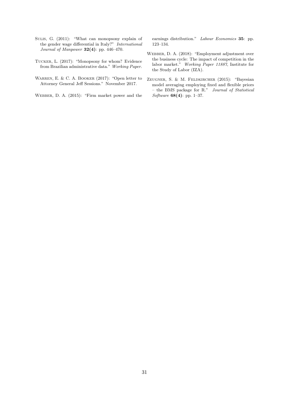- <span id="page-32-2"></span>Sulis, G. (2011): "What can monopsony explain of the gender wage differential in Italy?" International Journal of Manpower 32(4): pp. 446–470.
- <span id="page-32-5"></span>Tucker, L. (2017): "Monopsony for whom? Evidence from Brazilian administrative data." Working Paper.
- <span id="page-32-4"></span>WARREN, E. & C. A. BOOKER (2017): "Open letter to Attorney General Jeff Sessions." November 2017.
- <span id="page-32-1"></span>Webber, D. A. (2015): "Firm market power and the

earnings distribution." Labour Economics 35: pp. 123–134.

- <span id="page-32-0"></span>Webber, D. A. (2018): "Employment adjustment over the business cycle: The impact of competition in the labor market." Working Paper 11887, Institute for the Study of Labor (IZA).
- <span id="page-32-3"></span>Zeugner, S. & M. Feldkircher (2015): "Bayesian model averaging employing fixed and flexible priors – the BMS package for R." Journal of Statistical Software 68(4): pp. 1–37.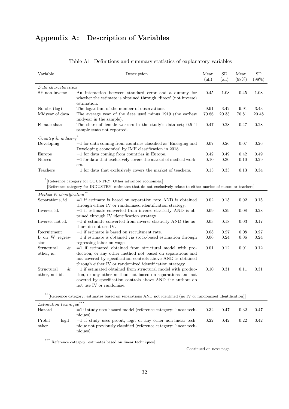# Appendix A: Description of Variables

<span id="page-33-0"></span>

| Variable                                                    | Description                                                                                                        | Mean           | <b>SD</b>      | Mean  | SD    |
|-------------------------------------------------------------|--------------------------------------------------------------------------------------------------------------------|----------------|----------------|-------|-------|
|                                                             |                                                                                                                    | $\text{(all)}$ | $\text{(all)}$ | (98%) | (98%) |
| Data characteristics                                        |                                                                                                                    |                |                |       |       |
| SE non-inverse                                              | An interaction between standard error and a dummy for                                                              | 0.45           | 1.08           | 0.45  | 1.08  |
|                                                             | whether the estimate is obtained through 'direct' (not inverse)                                                    |                |                |       |       |
|                                                             | estimation.                                                                                                        |                |                |       |       |
| No obs $(\log)$                                             | The logarithm of the number of observations.                                                                       | 9.91           | 3.42           | 9.91  | 3.43  |
| Midyear of data                                             | The average year of the data used minus 1919 (the earliest                                                         | 70.86          | 20.33          | 70.81 | 20.48 |
|                                                             | midyear in the sample).                                                                                            |                |                |       |       |
| Female share                                                | The share of female workers in the study's data set; 0.5 if                                                        | 0.47           | 0.28           | 0.47  | 0.28  |
|                                                             | sample stats not reported.                                                                                         |                |                |       |       |
| Country & industry                                          |                                                                                                                    |                |                |       |       |
| Developing                                                  | $=$ 1 for data coming from countries classified as 'Emerging and                                                   | 0.07           | 0.26           | 0.07  | 0.26  |
|                                                             | Developing economies' by IMF classification in 2018.                                                               |                |                |       |       |
| Europe                                                      | $=$ 1 for data coming from countries in Europe.                                                                    | 0.42           | 0.49           | 0.42  | 0.49  |
| <b>Nurses</b>                                               | $=$ 1 for data that exclusively covers the market of medical work-                                                 | 0.10           | 0.30           | 0.10  | 0.29  |
|                                                             | ers.                                                                                                               |                |                |       |       |
| Teachers                                                    | $=$ 1 for data that exclusively covers the market of teachers.                                                     | 0.13           | 0.33           | 0.13  | 0.34  |
|                                                             |                                                                                                                    |                |                |       |       |
|                                                             | [Reference category for COUNTRY: Other advanced economies.]                                                        |                |                |       |       |
|                                                             | [Reference category for INDUSTRY: estimates that do not exclusively relate to either market of nurses or teachers] |                |                |       |       |
| $Method \ \mathcal{C} \ identification \text{ \texttt{``}}$ |                                                                                                                    |                |                |       |       |
| Separations, id.                                            | $=1$ if estimate is based on separation rate AND is obtained                                                       | 0.02           | 0.15           | 0.02  | 0.15  |
|                                                             | through either IV or randomized identification strategy.                                                           |                |                |       |       |
| Inverse, id.                                                | $=1$ if estimate converted from inverse elasticity AND is ob-                                                      | 0.09           | 0.29           | 0.08  | 0.28  |
|                                                             | tained through IV identification strategy.                                                                         |                |                |       |       |
| Inverse, not id.                                            | $=1$ if estimate converted from inverse elasticity AND the au-                                                     | 0.03           | 0.18           | 0.03  | 0.17  |
|                                                             | thors do not use IV.                                                                                               |                |                |       |       |
| Recruitment                                                 | $=$ 1 if estimate is based on recruitment rate.                                                                    | 0.08           | 0.27           | 0.08  | 0.27  |
| L on W regres-                                              | $=$ 1 if estimate is obtained via stock-based estimation through                                                   | 0.06           | 0.24           | 0.06  | 0.24  |
| sion                                                        | regressing labor on wage.                                                                                          |                |                |       |       |
| Structural<br>&                                             | $=1$ if estimated obtained from structural model with pro-                                                         | 0.01           | 0.12           | 0.01  | 0.12  |
| other, id.                                                  | duction, or any other method not based on separations and                                                          |                |                |       |       |
|                                                             | not covered by specification controls above AND is obtained                                                        |                |                |       |       |
|                                                             | through either IV or randomized identification strategy.                                                           |                |                |       |       |
| Structural<br>&                                             | $=$ 1 if estimated obtained from structural model with produc-                                                     | 0.10           | 0.31           | 0.11  | 0.31  |
| other, not id.                                              | tion, or any other method not based on separations and not                                                         |                |                |       |       |
|                                                             | covered by specification controls above AND the authors do                                                         |                |                |       |       |
|                                                             | not use IV or randomize.                                                                                           |                |                |       |       |
|                                                             |                                                                                                                    |                |                |       |       |
|                                                             | [Reference category: estimates based on separations AND not identified (no IV or randomized identification)]       |                |                |       |       |
| <i>Estimation</i> technique                                 |                                                                                                                    |                |                |       |       |
| Hazard                                                      | $=1$ if study uses hazard model (reference category: linear tech-                                                  | 0.32           | 0.47           | 0.32  | 0.47  |
|                                                             | niques).                                                                                                           |                |                |       |       |
| Probit,<br>logit,                                           | $=1$ if study uses probit, logit or any other non-linear tech-                                                     | 0.22           | 0.42           | 0.22  | 0.42  |

### Table A1: Definitions and summary statistics of explanatory variables

 $\hbox{***}$  [Reference category: estimates based on linear techniques]

niques).

other

Continued on next page

nique not previously classified (reference category: linear tech-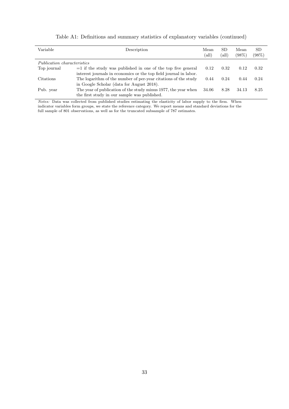| Variable                           | Description                                                       | Mean<br>(all) | <b>SD</b><br>(all) | Mean<br>(98%) | SD.<br>(98%) |
|------------------------------------|-------------------------------------------------------------------|---------------|--------------------|---------------|--------------|
| <i>Publication characteristics</i> |                                                                   |               |                    |               |              |
| Top journal                        | $=$ 1 if the study was published in one of the top five general   | 0.12          | 0.32               | 0.12          | 0.32         |
|                                    | interest journals in economics or the top field journal in labor. |               |                    |               |              |
| Citations                          | The logarithm of the number of per-year citations of the study    | 0.44          | 0.24               | 0.44          | 0.24         |
|                                    | in Google Scholar (data for August 2018).                         |               |                    |               |              |
| Pub. year                          | The year of publication of the study minus 1977, the year when    | 34.06         | 8.28               | 34.13         | 8.25         |
|                                    | the first study in our sample was published.                      |               |                    |               |              |

| Table A1: Definitions and summary statistics of explanatory variables (continued) |  |  |
|-----------------------------------------------------------------------------------|--|--|
|                                                                                   |  |  |

Notes: Data was collected from published studies estimating the elasticity of labor supply to the firm. When indicator variables form groups, we state the reference category. We report means and standard deviations for the full sample of 801 observations, as well as for the truncated subsample of 787 estimates.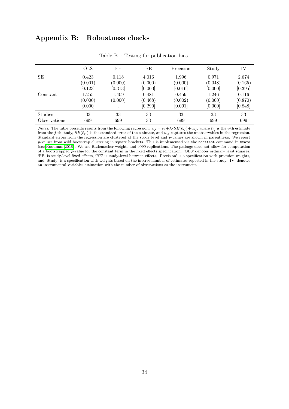# Appendix B: Robustness checks

<span id="page-35-0"></span>

|              | <b>OLS</b> | FE        | BE      | Precision | Study   | IV      |
|--------------|------------|-----------|---------|-----------|---------|---------|
| SЕ           | 0.423      | 0.118     | 4.016   | 1.996     | 0.971   | 2.674   |
|              | (0.001)    | (0.000)   | (0.000) | (0.000)   | (0.048) | (0.165) |
|              | [0.123]    | [0.313]   | [0.000] | [0.016]   | [0.000] | [0.395] |
| Constant     | 1.255      | 1.409     | 0.481   | 0.459     | 1.246   | 0.116   |
|              | (0.000)    | (0.000)   | (0.468) | (0.002)   | (0.000) | (0.870) |
|              | [0.000]    | $\bullet$ | [0.290] | [0.091]   | [0.000] | [0.848] |
| Studies      | 33         | 33        | 33      | 33        | 33      | 33      |
| Observations | 699        | 699       | 33      | 699       | 699     | 699     |

Table B1: Testing for publication bias

*Notes:* The table presents results from the following regression:  $\hat{\epsilon}_{ij} = \epsilon_0 + \lambda \cdot SE(\hat{\epsilon}_{ij}) + u_{ij}$ , where  $\hat{\epsilon}_{ij}$  is the *i*-th estimate from the j-th study,  $SE(\hat{\epsilon}_{ij})$  is the standard error of the estimate, and  $u_{ij}$  captures the unobservables in the regression. Standard errors from the regression are clustered at the study level and p-values are shown in parenthesis. We report p-values from wild bootstrap clustering in square brackets. This is implemented via the boottest command in Stata (see [Roodman 2018\)](#page-31-20). We use Rademacher weights and 9999 replications. The package does not allow for computation of a bootstrapped p-value for the constant term in the fixed effects specification. 'OLS' denotes ordinary least squares, 'FE' is study-level fixed effects, 'BE' is study-level between effects, 'Precision' is a specification with precision weights, and 'Study' is a specification with weights based on the inverse number of estimates reported in the study, 'IV' denotes an instrumental variables estimation with the number of observations as the instrument.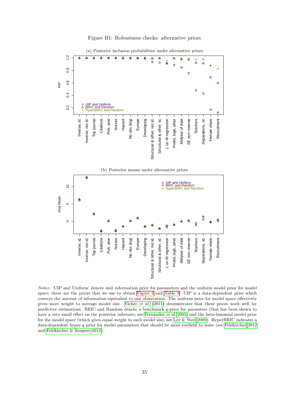<span id="page-36-0"></span>

Figure B1: Robustness checks: alternative priors



Notes: 'UIP and Uniform' denote unit information prior for parameters and the uniform model prior for model space; these are the priors that we use to obtain [Figure 3](#page-21-0) and [Table 3.](#page-23-0) UIP is a data-dependent prior which conveys the amount of information equivalent to one observation. The uniform prior for model space effectively gives more weight to average model size. [Eicher](#page-30-20) et al.  $(2011)$  demonstrates that these priors work well for predictive estimations. BRIC and Random denote a benchmark g-prior for paramters (that has been shown to have a very small effect on the posterior inference; see [Fernandez](#page-30-25) et al. [2001\)](#page-30-25) and the beta-binomial model prior for the model space (which gives equal weight to each model size; see [Ley & Steel 2009\)](#page-31-29). HyperBRIC indicates a data-dependent hyper-g prior for model parameters that should be more resilient to noise (see [Feldkircher 2012](#page-30-26) and [Feldkircher & Zeugner 2012\)](#page-30-27).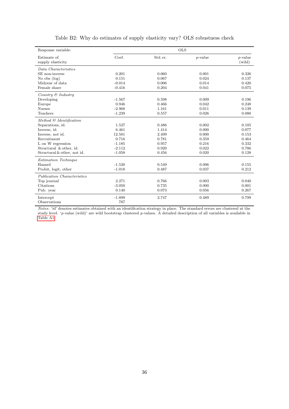<span id="page-37-0"></span>

| Response variable:               |          |          | <b>OLS</b> |                      |
|----------------------------------|----------|----------|------------|----------------------|
| Estimate of<br>supply elasticity | Coef.    | Std. er. | $p$ -value | $p$ -value<br>(wild) |
| Data Characteristics             |          |          |            |                      |
| SE non-inverse                   | 0.201    | 0.060    | 0.001      | 0.326                |
| No obs $(\log)$                  | 0.151    | 0.067    | 0.024      | 0.137                |
| Midyear of data                  | $-0.014$ | 0.006    | 0.014      | 0.420                |
| Female share                     | $-0.416$ | 0.204    | 0.041      | 0.075                |
| Country $\mathcal C$ Industry    |          |          |            |                      |
| Developing                       | $-1.567$ | 0.598    | 0.009      | 0.196                |
| Europe                           | 0.946    | 0.466    | 0.042      | 0.248                |
| <b>Nurses</b>                    | $-2.968$ | 1.161    | 0.011      | 0.139                |
| Teachers                         | $-1.239$ | 0.557    | 0.026      | 0.080                |
| Method & Identification          |          |          |            |                      |
| Separations, id.                 | 1.527    | 0.486    | 0.002      | 0.105                |
| Inverse, id.                     | 6.461    | 1.414    | 0.000      | 0.077                |
| Inverse, not id.                 | 12.581   | 2.499    | 0.000      | 0.153                |
| Recruitment                      | 0.716    | 0.781    | 0.359      | 0.464                |
| L on W regression                | $-1.185$ | 0.957    | 0.216      | 0.332                |
| Structural & other, id.          | $-2.112$ | 0.920    | 0.022      | 0.786                |
| Structural & other, not id.      | $-1.058$ | 0.456    | 0.020      | 0.128                |
| Estimation Technique             |          |          |            |                      |
| Hazard                           | $-1.520$ | 0.549    | 0.006      | 0.155                |
| Probit, logit, other             | $-1.018$ | 0.487    | 0.037      | 0.212                |
| Publication Characteristics      |          |          |            |                      |
| Top journal                      | 2.271    | 0.766    | 0.003      | 0.040                |
| Citations                        | $-3.050$ | 0.735    | 0.000      | 0.001                |
| Pub. year                        | 0.140    | 0.073    | 0.056      | 0.267                |
| Intercept                        | $-1.899$ | 2.747    | 0.489      | 0.799                |
| Observations                     | 787      |          |            |                      |

# Table B2: Why do estimates of supply elasticity vary? OLS robustness check

Notes: 'id' denotes estimates obtained with an identification strategy in place. The standard errors are clustered at the study level. 'p-value (wild)' are wild bootstrap clustered p-values. A detailed description of all variables is available in [Table A1.](#page-33-0)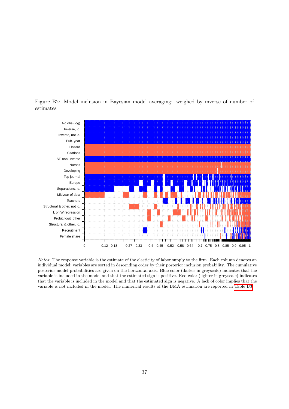

<span id="page-38-0"></span>Figure B2: Model inclusion in Bayesian model averaging: weighed by inverse of number of estimates

Notes: The response variable is the estimate of the elasticity of labor supply to the firm. Each column denotes an individual model; variables are sorted in descending order by their posterior inclusion probability. The cumulative posterior model probabilities are given on the horizontal axis. Blue color (darker in greyscale) indicates that the variable is included in the model and that the estimated sign is positive. Red color (lighter in greyscale) indicates that the variable is included in the model and that the estimated sign is negative. A lack of color implies that the variable is not included in the model. The numerical results of the BMA estimation are reported in [Table B3.](#page-39-0)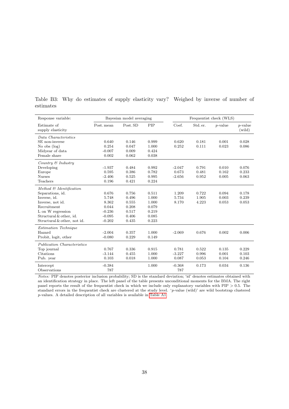| Response variable:               | Bayesian model averaging |          |            | Frequentist check (WLS) |          |            |                      |
|----------------------------------|--------------------------|----------|------------|-------------------------|----------|------------|----------------------|
| Estimate of<br>supply elasticity | Post, mean               | Post, SD | <b>PIP</b> | Coef.                   | Std. er. | $p$ -value | $p$ -value<br>(wild) |
| Data Characteristics             |                          |          |            |                         |          |            |                      |
| SE non-inverse                   | 0.640                    | 0.146    | 0.999      | 0.620                   | 0.181    | 0.001      | 0.028                |
| No obs $(\log)$                  | 0.254                    | 0.047    | 1.000      | 0.252                   | 0.111    | 0.023      | 0.086                |
| Midyear of data                  | $-0.007$                 | 0.009    | 0.424      |                         |          |            |                      |
| Female share                     | 0.002                    | 0.062    | 0.038      |                         |          |            |                      |
| Country & Industru               |                          |          |            |                         |          |            |                      |
| Developing                       | $-1.937$                 | 0.484    | 0.992      | $-2.047$                | 0.791    | 0.010      | 0.076                |
| Europe                           | 0.595                    | 0.386    | 0.782      | 0.673                   | 0.481    | 0.162      | 0.233                |
| <b>Nurses</b>                    | $-2.406$                 | 0.525    | 0.995      | $-2.656$                | 0.952    | 0.005      | 0.063                |
| Teachers                         | 0.196                    | 0.421    | 0.224      |                         |          |            |                      |
| Method & Identification          |                          |          |            |                         |          |            |                      |
| Separations, id.                 | 0.676                    | 0.756    | 0.511      | 1.209                   | 0.722    | 0.094      | 0.178                |
| Inverse, id.                     | 5.748                    | 0.496    | 1.000      | 5.734                   | 1.905    | 0.003      | 0.239                |
| Inverse, not id.                 | 8.362                    | 0.555    | 1.000      | 8.170                   | 4.223    | 0.053      | 0.053                |
| Recruitment                      | 0.044                    | 0.208    | 0.079      |                         |          |            |                      |
| L on W regression                | $-0.236$                 | 0.517    | 0.219      |                         |          |            |                      |
| Structural & other, id.          | $-0.095$                 | 0.406    | 0.085      |                         |          |            |                      |
| Structural & other, not id.      | $-0.202$                 | 0.435    | 0.223      |                         |          |            |                      |
| Estimation Technique             |                          |          |            |                         |          |            |                      |
| Hazard                           | $-2.004$                 | 0.357    | 1.000      | $-2.069$                | 0.676    | 0.002      | 0.006                |
| Probit, logit, other             | $-0.080$                 | 0.229    | 0.149      |                         |          |            |                      |
| Publication Characteristics      |                          |          |            |                         |          |            |                      |
| Top journal                      | 0.767                    | 0.336    | 0.915      | 0.781                   | 0.522    | 0.135      | 0.229                |
| Citations                        | $-3.144$                 | 0.455    | 1.000      | $-3.227$                | 0.996    | 0.001      | 0.103                |
| Pub. year                        | 0.103                    | 0.018    | 1.000      | 0.087                   | 0.053    | 0.104      | 0.246                |
| Intercept                        | $-0.384$                 |          | 1.000      | $-0.368$                | 0.173    | 0.034      | 0.136                |
| Observations                     | 787                      |          |            | 787                     |          |            |                      |

<span id="page-39-0"></span>Table B3: Why do estimates of supply elasticity vary? Weighed by inverse of number of estimates

Notes: PIP denotes posterior inclusion probability; SD is the standard deviation; 'id' denotes estimates obtained with an identification strategy in place. The left panel of the table presents unconditional moments for the BMA. The right panel reports the result of the frequentist check in which we include only explanatory variables with PIP > 0.5. The standard errors in the frequentist check are clustered at the study level. 'p-value (wild)' are wild bootstrap clustered p-values. A detailed description of all variables is available in [Table A1.](#page-33-0)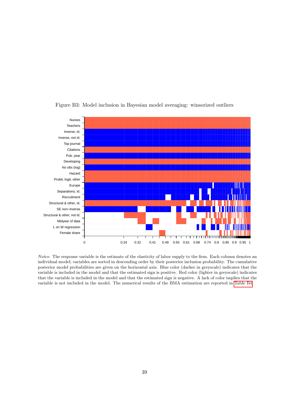<span id="page-40-0"></span>

Figure B3: Model inclusion in Bayesian model averaging: winsorized outliers

Notes: The response variable is the estimate of the elasticity of labor supply to the firm. Each column denotes an individual model; variables are sorted in descending order by their posterior inclusion probability. The cumulative posterior model probabilities are given on the horizontal axis. Blue color (darker in greyscale) indicates that the variable is included in the model and that the estimated sign is positive. Red color (lighter in greyscale) indicates that the variable is included in the model and that the estimated sign is negative. A lack of color implies that the variable is not included in the model. The numerical results of the BMA estimation are reported in [Table B4.](#page-41-0)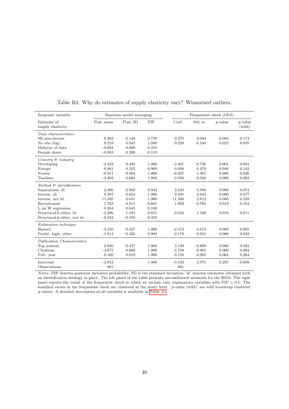<span id="page-41-0"></span>

| Response variable:                  | Bayesian model averaging |          |       | Frequentist check (OLS) |          |            |                      |
|-------------------------------------|--------------------------|----------|-------|-------------------------|----------|------------|----------------------|
| Estimate of<br>supply elasticity    | Post. mean               | Post. SD | PIP   | Coef.                   | Std. er. | $p$ -value | $p$ -value<br>(wild) |
| Data characteristics                |                          |          |       |                         |          |            |                      |
| SE non-inverse                      | 0.203                    | 0.138    | 0.759 | 0.275                   | 0.093    | 0.003      | 0.173                |
| No obs $(\log)$                     | 0.219                    | 0.045    | 1.000 | 0.229                   | 0.100    | 0.023      | 0.070                |
| Midyear of data                     | $-0.004$                 | 0.008    | 0.310 |                         |          |            |                      |
| Female share                        | $-0.063$                 | 0.200    | 0.123 |                         |          |            |                      |
| Country $\mathcal C$ industry       |                          |          |       |                         |          |            |                      |
| Developing                          | $-2.423$                 | 0.493    | 1.000 | $-2.401$                | 0.736    | 0.001      | 0.094                |
| Europe                              | 0.961                    | 0.325    | 0.969 | 0.938                   | 0.470    | 0.046      | 0.143                |
| <b>Nurses</b>                       | $-6.611$                 | 0.664    | 1.000 | $-6.627$                | 1.365    | 0.000      | 0.026                |
| Teachers                            | $-3.403$                 | 0.663    | 1.000 | $-3.586$                | 0.946    | 0.000      | 0.062                |
| Method $\mathcal{C}$ identification |                          |          |       |                         |          |            |                      |
| Separations, id.                    | 2.266                    | 0.902    | 0.943 | 2.233                   | 0.589    | 0.000      | 0.074                |
| Inverse, id.                        | 9.587                    | 0.654    | 1.000 | 9.505                   | 2.043    | 0.000      | 0.077                |
| Inverse, not id.                    | 11.495                   | 0.631    | 1.000 | 11.406                  | 2.812    | 0.000      | 0.239                |
| Recruitment                         | 1.763                    | 0.911    | 0.881 | 1.802                   | 0.768    | 0.019      | 0.164                |
| L on W regression                   | 0.264                    | 0.645    | 0.188 |                         |          |            |                      |
| Structural & other, id.             | $-2.206$                 | 1.184    | 0.851 | $-2.624$                | 1.106    | 0.018      | 0.811                |
| Structural & other, not id.         | $-0.342$                 | 0.550    | 0.335 |                         |          |            |                      |
| Estimation technique                |                          |          |       |                         |          |            |                      |
| Hazard                              | $-2.250$                 | 0.427    | 1.000 | $-2.412$                | 0.613    | 0.000      | 0.005                |
| Probit, logit, other                | $-1.913$                 | 0.456    | 0.993 | $-2.178$                | 0.501    | 0.000      | 0.022                |
| Publication Characteristics         |                          |          |       |                         |          |            |                      |
| Top journal                         | 2.930                    | 0.437    | 1.000 | 3.129                   | 0.809    | 0.000      | 0.022                |
| Citations                           | $-4.671$                 | 0.660    | 1.000 | $-4.739$                | 0.965    | 0.000      | 0.004                |
| Pub. year                           | 0.160                    | 0.019    | 1.000 | 0.158                   | 0.085    | 0.064      | 0.264                |
| Intercept                           | $-2.852$                 |          | 1.000 | $-3.102$                | 2.975    | 0.297      | 0.609                |
| Observations                        | 801                      |          |       | 801                     |          |            |                      |

#### Table B4: Why do estimates of supply elasticity vary? Winsorized outliers.

Notes: PIP denotes posterior inclusion probability; SD is the standard deviation; 'id' denotes estimates obtained with an identification strategy in place. The left panel of the table presents unconditional moments for the BMA. The right panel reports the result of the frequentist check in which we include only explanatory variables with PIP > 0.5. The standard errors in the frequentist check are clustered at the study level. 'p-value (wild)' are wild bootstrap clustered p-values. A detailed description of all variables is available in [Table A1.](#page-33-0)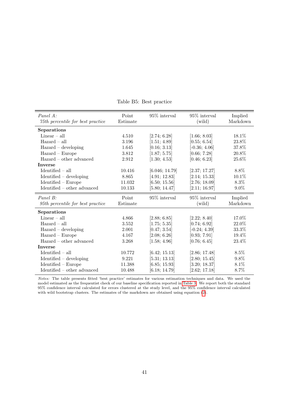<span id="page-42-0"></span>

| Panel A:                                           | Point                                       | 95% interval    | 95% interval    | Implied  |
|----------------------------------------------------|---------------------------------------------|-----------------|-----------------|----------|
| 75th percentile for best practice                  | Estimate                                    |                 | (wild)          | Markdown |
| Separations                                        |                                             |                 |                 |          |
| Linear $-$ all                                     | 4.510                                       | [2.74; 6.28]    | [1.66; 8.03]    | 18.1%    |
| $Hazard - all$                                     | 3.196                                       | [1.51; 4.89]    | [0.55; 6.54]    | $23.8\%$ |
| $Hazard - developing$                              | 1.645                                       | [0.16; 3.13]    | $[-0.36; 4.06]$ | 37.8%    |
| $Hazard - Europe$                                  | 3.812                                       | [1.87; 5.75]    | [0.66; 7.28]    | 20.8%    |
| $Hazard - other advanced$                          | 2.912                                       | [1.30; 4.53]    | [0.46; 6.23]    | 25.6%    |
| <b>Inverse</b>                                     |                                             |                 |                 |          |
| $Identified - all$                                 | 10.416                                      | [6.046; 14.79]  | [2.37; 17.27]   | 8.8%     |
| $Identified - developing$                          | 8.865                                       | [4.91; 12.83]   | [2.14; 15.33]   | 10.1%    |
| $Identified - Europe$                              | 11.032                                      | [6.50; 15.56]   | [2.76; 18.09]   | 8.3%     |
| $Identified - other advanced$                      | 10.133                                      | [5.80; 14.47]   | [2.11; 16.97]   | $9.0\%$  |
| Panel B:                                           | Point                                       | $95\%$ interval | 95\% interval   | Implied  |
| 95th percentile for best practice                  | $\begin{array}{c} \rm Estimate \end{array}$ |                 | (wild)          | Markdown |
| Separations                                        |                                             |                 |                 |          |
| $Linear - all$                                     | 4.866                                       | [2.88; 6.85]    | [2.22; 8.40]    | 17.0%    |
| $Hazard - all$                                     | 3.552                                       | [1.75; 5.35]    | [0.74; 6.92]    | 22.0%    |
| Hazard - developing                                | $2.001\,$                                   | [0.47; 3.54]    | $[-0.24; 4.39]$ | $33.3\%$ |
| $Hazard - Europe$                                  | 4.167                                       | [2.08; 6.26]    | [0.93; 7.91]    | 19.4%    |
| $Hazard - other advanced$                          | 3.268                                       | [1.58; 4.96]    | [0.76; 6.45]    | 23.4%    |
| <b>Inverse</b>                                     |                                             |                 |                 |          |
| $Identified - all$                                 | 10.772                                      | [6.42; 15.13]   | [2.86; 17.48]   | 8.5%     |
| $Identified - developing$                          | 9.221                                       | [5.31; 13.13]   | [2.80; 15.45]   | 9.8%     |
| $Identified - Europe$                              | 11.388                                      | [6.85; 15.93]   | [3.20; 18.37]   | 8.1%     |
| $\label{eq:1} \text{Identified -- other advanced}$ | 10.488                                      | [6.18; 14.79]   | [2.62; 17.18]   | 8.7%     |

Table B5: Best practice

Notes: The table presents fitted 'best practice' estimates for various estimation techniques and data. We used the model estimated as the frequentist check of our baseline specification reported in [Table 3.](#page-23-0) We report both the standard 95% confidence interval calculated for errors clustered at the study level, and the 95% confidence interval calculated with wild bootstrap clusters. The estimates of the markdown are obtained using equation [\(2\)](#page-6-1).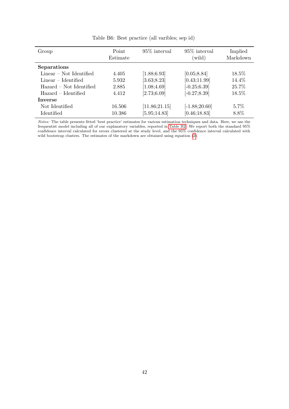<span id="page-43-0"></span>

| Group                     | Point<br>Estimate | 95\% interval | 95\% interval<br>(wild) | Implied<br>Markdown |
|---------------------------|-------------------|---------------|-------------------------|---------------------|
| Separations               |                   |               |                         |                     |
| $Linear - Not$ Identified | 4.405             | [1.88; 6.93]  | [0.05; 8.84]            | 18.5%               |
| $Linear - Identified$     | 5.932             | [3.63; 8.23]  | [0.43;11.99]            | 14.4%               |
| Hazard – Not Identified   | 2.885             | [1.08; 4.69]  | $[-0.25; 6.39]$         | 25.7%               |
| Hazard – Identified       | 4.412             | [2.73;6.09]   | $[-0.27; 8.39]$         | 18.5%               |
| <b>Inverse</b>            |                   |               |                         |                     |
| Not Identified            | 16.506            | [11.86;21.15] | $[-1.88;20.60]$         | $5.7\%$             |
| <b>Identified</b>         | 10.386            | [5.95; 14.83] | [0.46; 18.83]           | 8.8%                |

Table B6: Best practice (all varibles; sep id)

Notes: The table presents fitted 'best practice' estimates for various estimation techniques and data. Here, we use the frequentist model including all of our explanatory variables, reported in [Table B2.](#page-37-0) We report both the standard 95% confidence interval calculated for errors clustered at the study level, and the 95% confidence interval calculated with wild bootstrap clusters. The estimates of the markdown are obtained using equation [\(2\)](#page-6-1).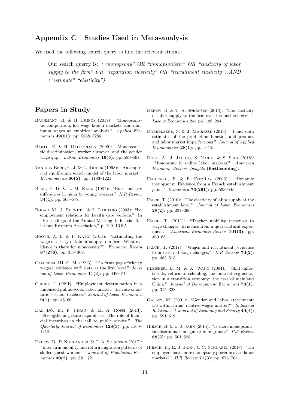## Appendix C Studies Used in Meta-analysis

We used the following search query to find the relevant studies:

Our search querry is: ("monopsony" OR "monopsonistic" OR "elasticity of labor supply to the firm" OR "separation elasticity" OR "recruitment elasticity") AND  $($ "estimate" "elasticity")

# Papers in Study

- BACHMANN, R. & H. FRINGS (2017): "Monopsonistic competition, low-wage labour markets, and minimum wages–an empirical analysis." Applied Economics 49(51): pp. 5268-5286.
- Barth, E. & H. Dale-Olsen (2009): "Monopsonistic discrimination, worker turnover, and the gender wage gap." Labour Economics 16(5): pp. 589–597.
- VAN DEN BERG, G. J. & G. RIDDER (1998): "An empirical equilibrium search model of the labor market." Econometrica 66(5): pp. 1183–1221.
- Blau, F. D. & L. M. Kahn (1981): "Race and sex differences in quits by young workers." ILR Review 34(4): pp. 563–577.
- Bodah, M., J. Burkett, & L. Lardaro (2003): "Ix. employment relations for health care workers." In "Proceedings of the Annual Meeting–Industrial Relations Research Association," p. 199. IRRA.
- BOOTH, A. L. & P. KATIC (2011): "Estimating the wage elasticity of labour supply to a firm: What evidence is there for monopsony?" Economic Record 87(278): pp. 359–369.
- Campbell III, C. M. (1993): "Do firms pay efficiency wages? evidence with data at the firm level." Journal of Labor Economics  $11(3)$ : pp. 442-470.
- CURRIE, J. (1991): "Employment determination in a unionized public-sector labor market: the case of ontario's school teachers." Journal of Labor Economics  $9(1)$ : pp. 45–66.
- DAL BÓ, E., F. FINAN, & M. A. ROSSI (2013): "Strengthening state capabilities: The role of financial incentives in the call to public service." The Quarterly Journal of Economics 128(3): pp. 1169– 1218.
- Depew, B., P. Norlander, & T. A. Sørensen (2017): "Inter-firm mobility and return migration patterns of skilled guest workers." Journal of Population Economics **30(2)**: pp. 681-721.
- Depew, B. & T. A. Sørensen (2013): "The elasticity of labor supply to the firm over the business cycle." Labour Economics 24: pp. 196–204.
- Dobbelaere, S. & J. Mairesse (2013): "Panel data estimates of the production function and product and labor market imperfections." Journal of Applied Econometrics 28(1): pp. 1–46.
- DUBE, A., J. JACOBS, S. NAIDU, & S. SURI (2018): "Monopsony in online labor markets." American Economic Review: Insights (forthcoming).
- Fakhfakh, F. & F. FitzRoy (2006): "Dynamic monopsony: Evidence from a French establishment panel." Economica 73(291): pp. 533–545.
- FALCH, T.  $(2010)$ : "The elasticity of labor supply at the establishment level." Journal of Labor Economics  $28(2)$ : pp. 237–266.
- FALCH, T.  $(2011)$ : "Teacher mobility responses to wage changes: Evidence from a quasi-natural experiment." American Economic Review 101(3): pp. 460–65.
- Falch, T. (2017): "Wages and recruitment: evidence from external wage changes." ILR Review 70(2): pp. 483–518.
- Fleisher, B. M. & X. Wang (2004): "Skill differentials, return to schooling, and market segmentation in a transition economy: the case of mainland China." Journal of Development Economics 73(1): pp. 315–328.
- Galizzi, M. (2001): "Gender and labor attachment: Do within-firms' relative wages matter?" Industrial Relations: A Journal of Economy and Society 40(4): pp. 591–619.
- HIRSCH, B. & E. J. JAHN (2015): "Is there monopsonistic discrimination against immigrants?" ILR Review 68(3): pp. 501–528.
- Hirsch, B., E. J. Jahn, & C. Schnabel (2018): "Do employers have more monopsony power in slack labor markets?" ILR Review **71(3)**: pp. 676–704.